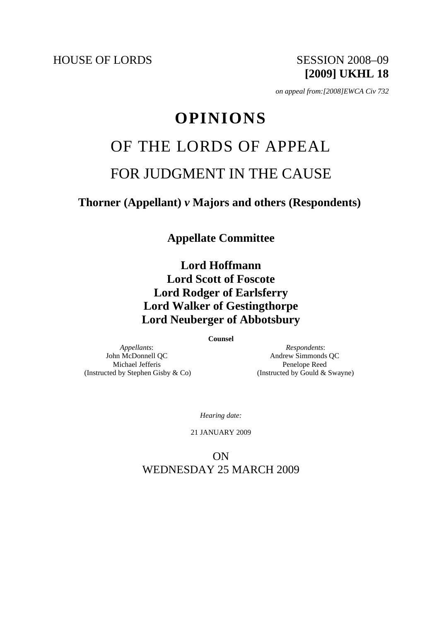HOUSE OF LORDS SESSION 2008–09

**[2009] UKHL 18**

*on appeal from:[2008]EWCA Civ 732* 

## **OPINIONS**

# OF THE LORDS OF APPEAL

## FOR JUDGMENT IN THE CAUSE

**Thorner (Appellant)** *v* **Majors and others (Respondents)** 

**Appellate Committee** 

**Lord Hoffmann Lord Scott of Foscote Lord Rodger of Earlsferry Lord Walker of Gestingthorpe Lord Neuberger of Abbotsbury** 

**Counsel** 

*Appellants*: John McDonnell QC Michael Jefferis (Instructed by Stephen Gisby & Co)

 *Respondents*: Andrew Simmonds QC Penelope Reed (Instructed by Gould & Swayne)

*Hearing date:* 

21 JANUARY 2009

ON WEDNESDAY 25 MARCH 2009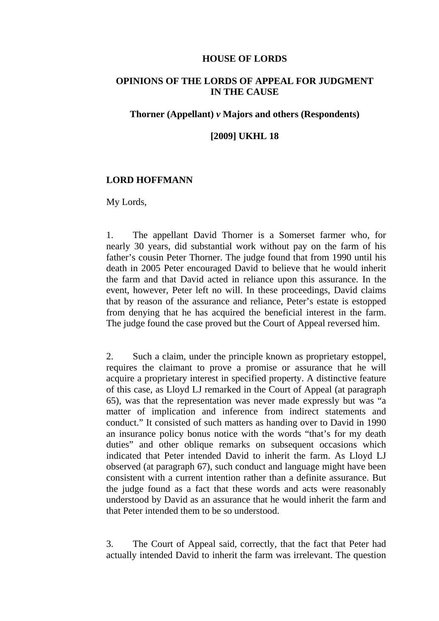#### **HOUSE OF LORDS**

## **OPINIONS OF THE LORDS OF APPEAL FOR JUDGMENT IN THE CAUSE**

#### **Thorner (Appellant)** *v* **Majors and others (Respondents)**

#### **[2009] UKHL 18**

#### **LORD HOFFMANN**

My Lords,

1. The appellant David Thorner is a Somerset farmer who, for nearly 30 years, did substantial work without pay on the farm of his father's cousin Peter Thorner. The judge found that from 1990 until his death in 2005 Peter encouraged David to believe that he would inherit the farm and that David acted in reliance upon this assurance. In the event, however, Peter left no will. In these proceedings, David claims that by reason of the assurance and reliance, Peter's estate is estopped from denying that he has acquired the beneficial interest in the farm. The judge found the case proved but the Court of Appeal reversed him.

2. Such a claim, under the principle known as proprietary estoppel, requires the claimant to prove a promise or assurance that he will acquire a proprietary interest in specified property. A distinctive feature of this case, as Lloyd LJ remarked in the Court of Appeal (at paragraph 65), was that the representation was never made expressly but was "a matter of implication and inference from indirect statements and conduct." It consisted of such matters as handing over to David in 1990 an insurance policy bonus notice with the words "that's for my death duties" and other oblique remarks on subsequent occasions which indicated that Peter intended David to inherit the farm. As Lloyd LJ observed (at paragraph 67), such conduct and language might have been consistent with a current intention rather than a definite assurance. But the judge found as a fact that these words and acts were reasonably understood by David as an assurance that he would inherit the farm and that Peter intended them to be so understood.

3. The Court of Appeal said, correctly, that the fact that Peter had actually intended David to inherit the farm was irrelevant. The question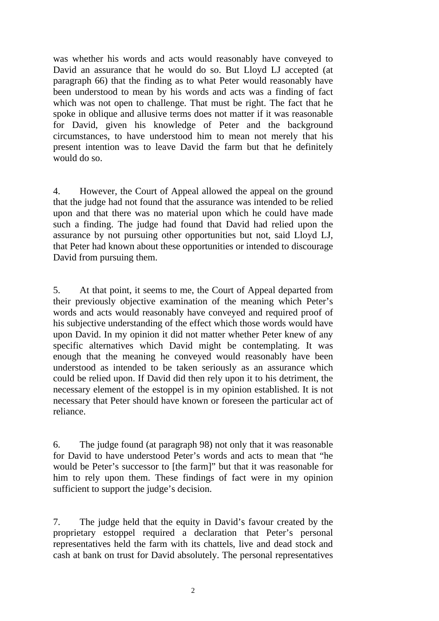was whether his words and acts would reasonably have conveyed to David an assurance that he would do so. But Lloyd LJ accepted (at paragraph 66) that the finding as to what Peter would reasonably have been understood to mean by his words and acts was a finding of fact which was not open to challenge. That must be right. The fact that he spoke in oblique and allusive terms does not matter if it was reasonable for David, given his knowledge of Peter and the background circumstances, to have understood him to mean not merely that his present intention was to leave David the farm but that he definitely would do so.

4. However, the Court of Appeal allowed the appeal on the ground that the judge had not found that the assurance was intended to be relied upon and that there was no material upon which he could have made such a finding. The judge had found that David had relied upon the assurance by not pursuing other opportunities but not, said Lloyd LJ, that Peter had known about these opportunities or intended to discourage David from pursuing them.

5. At that point, it seems to me, the Court of Appeal departed from their previously objective examination of the meaning which Peter's words and acts would reasonably have conveyed and required proof of his subjective understanding of the effect which those words would have upon David. In my opinion it did not matter whether Peter knew of any specific alternatives which David might be contemplating. It was enough that the meaning he conveyed would reasonably have been understood as intended to be taken seriously as an assurance which could be relied upon. If David did then rely upon it to his detriment, the necessary element of the estoppel is in my opinion established. It is not necessary that Peter should have known or foreseen the particular act of reliance.

6. The judge found (at paragraph 98) not only that it was reasonable for David to have understood Peter's words and acts to mean that "he would be Peter's successor to [the farm]" but that it was reasonable for him to rely upon them. These findings of fact were in my opinion sufficient to support the judge's decision.

7. The judge held that the equity in David's favour created by the proprietary estoppel required a declaration that Peter's personal representatives held the farm with its chattels, live and dead stock and cash at bank on trust for David absolutely. The personal representatives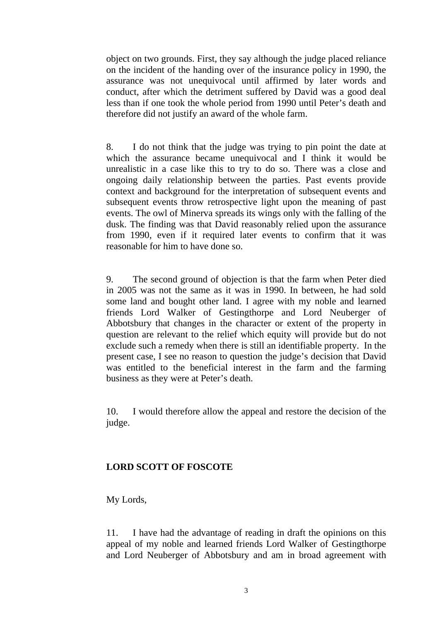object on two grounds. First, they say although the judge placed reliance on the incident of the handing over of the insurance policy in 1990, the assurance was not unequivocal until affirmed by later words and conduct, after which the detriment suffered by David was a good deal less than if one took the whole period from 1990 until Peter's death and therefore did not justify an award of the whole farm.

8. I do not think that the judge was trying to pin point the date at which the assurance became unequivocal and I think it would be unrealistic in a case like this to try to do so. There was a close and ongoing daily relationship between the parties. Past events provide context and background for the interpretation of subsequent events and subsequent events throw retrospective light upon the meaning of past events. The owl of Minerva spreads its wings only with the falling of the dusk. The finding was that David reasonably relied upon the assurance from 1990, even if it required later events to confirm that it was reasonable for him to have done so.

9. The second ground of objection is that the farm when Peter died in 2005 was not the same as it was in 1990. In between, he had sold some land and bought other land. I agree with my noble and learned friends Lord Walker of Gestingthorpe and Lord Neuberger of Abbotsbury that changes in the character or extent of the property in question are relevant to the relief which equity will provide but do not exclude such a remedy when there is still an identifiable property. In the present case, I see no reason to question the judge's decision that David was entitled to the beneficial interest in the farm and the farming business as they were at Peter's death.

10. I would therefore allow the appeal and restore the decision of the judge.

### **LORD SCOTT OF FOSCOTE**

My Lords,

11. I have had the advantage of reading in draft the opinions on this appeal of my noble and learned friends Lord Walker of Gestingthorpe and Lord Neuberger of Abbotsbury and am in broad agreement with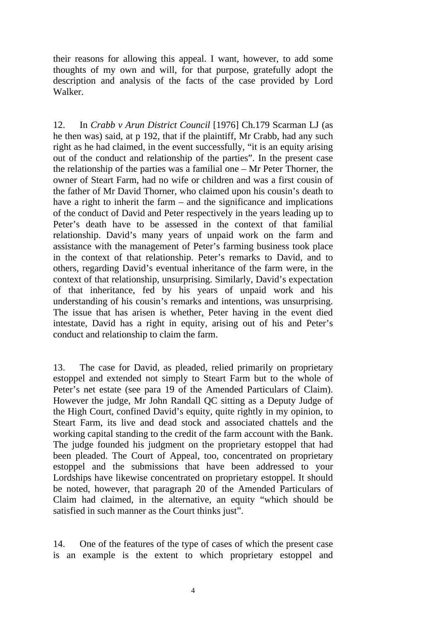their reasons for allowing this appeal. I want, however, to add some thoughts of my own and will, for that purpose, gratefully adopt the description and analysis of the facts of the case provided by Lord Walker.

12. In *Crabb v Arun District Council* [1976] Ch.179 Scarman LJ (as he then was) said, at p 192, that if the plaintiff, Mr Crabb, had any such right as he had claimed, in the event successfully, "it is an equity arising out of the conduct and relationship of the parties". In the present case the relationship of the parties was a familial one – Mr Peter Thorner, the owner of Steart Farm, had no wife or children and was a first cousin of the father of Mr David Thorner, who claimed upon his cousin's death to have a right to inherit the farm – and the significance and implications of the conduct of David and Peter respectively in the years leading up to Peter's death have to be assessed in the context of that familial relationship. David's many years of unpaid work on the farm and assistance with the management of Peter's farming business took place in the context of that relationship. Peter's remarks to David, and to others, regarding David's eventual inheritance of the farm were, in the context of that relationship, unsurprising. Similarly, David's expectation of that inheritance, fed by his years of unpaid work and his understanding of his cousin's remarks and intentions, was unsurprising. The issue that has arisen is whether, Peter having in the event died intestate, David has a right in equity, arising out of his and Peter's conduct and relationship to claim the farm.

13. The case for David, as pleaded, relied primarily on proprietary estoppel and extended not simply to Steart Farm but to the whole of Peter's net estate (see para 19 of the Amended Particulars of Claim). However the judge, Mr John Randall QC sitting as a Deputy Judge of the High Court, confined David's equity, quite rightly in my opinion, to Steart Farm, its live and dead stock and associated chattels and the working capital standing to the credit of the farm account with the Bank. The judge founded his judgment on the proprietary estoppel that had been pleaded. The Court of Appeal, too, concentrated on proprietary estoppel and the submissions that have been addressed to your Lordships have likewise concentrated on proprietary estoppel. It should be noted, however, that paragraph 20 of the Amended Particulars of Claim had claimed, in the alternative, an equity "which should be satisfied in such manner as the Court thinks just<sup>5</sup>.

14. One of the features of the type of cases of which the present case is an example is the extent to which proprietary estoppel and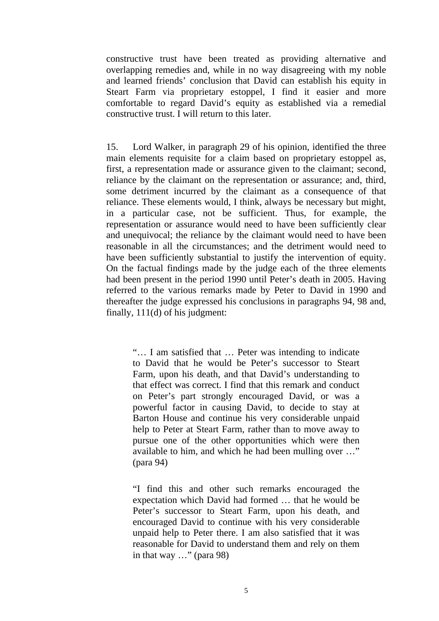constructive trust have been treated as providing alternative and overlapping remedies and, while in no way disagreeing with my noble and learned friends' conclusion that David can establish his equity in Steart Farm via proprietary estoppel, I find it easier and more comfortable to regard David's equity as established via a remedial constructive trust. I will return to this later.

15. Lord Walker, in paragraph 29 of his opinion, identified the three main elements requisite for a claim based on proprietary estoppel as, first, a representation made or assurance given to the claimant; second, reliance by the claimant on the representation or assurance; and, third, some detriment incurred by the claimant as a consequence of that reliance. These elements would, I think, always be necessary but might, in a particular case, not be sufficient. Thus, for example, the representation or assurance would need to have been sufficiently clear and unequivocal; the reliance by the claimant would need to have been reasonable in all the circumstances; and the detriment would need to have been sufficiently substantial to justify the intervention of equity. On the factual findings made by the judge each of the three elements had been present in the period 1990 until Peter's death in 2005. Having referred to the various remarks made by Peter to David in 1990 and thereafter the judge expressed his conclusions in paragraphs 94, 98 and, finally, 111(d) of his judgment:

"… I am satisfied that … Peter was intending to indicate to David that he would be Peter's successor to Steart Farm, upon his death, and that David's understanding to that effect was correct. I find that this remark and conduct on Peter's part strongly encouraged David, or was a powerful factor in causing David, to decide to stay at Barton House and continue his very considerable unpaid help to Peter at Steart Farm, rather than to move away to pursue one of the other opportunities which were then available to him, and which he had been mulling over …" (para 94)

"I find this and other such remarks encouraged the expectation which David had formed … that he would be Peter's successor to Steart Farm, upon his death, and encouraged David to continue with his very considerable unpaid help to Peter there. I am also satisfied that it was reasonable for David to understand them and rely on them in that way …" (para 98)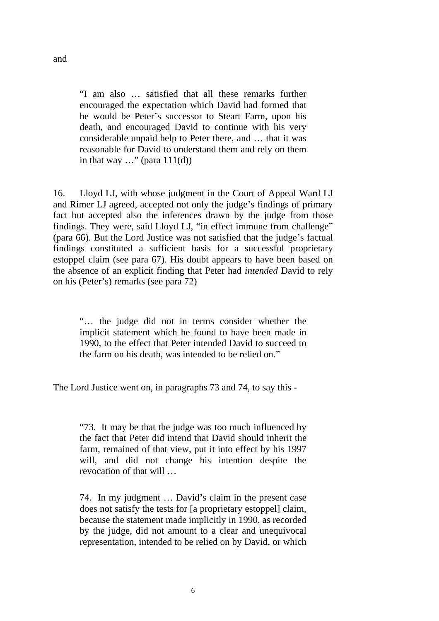and

"I am also … satisfied that all these remarks further encouraged the expectation which David had formed that he would be Peter's successor to Steart Farm, upon his death, and encouraged David to continue with his very considerable unpaid help to Peter there, and … that it was reasonable for David to understand them and rely on them in that way  $\ldots$ " (para 111(d))

16. Lloyd LJ, with whose judgment in the Court of Appeal Ward LJ and Rimer LJ agreed, accepted not only the judge's findings of primary fact but accepted also the inferences drawn by the judge from those findings. They were, said Lloyd LJ, "in effect immune from challenge" (para 66). But the Lord Justice was not satisfied that the judge's factual findings constituted a sufficient basis for a successful proprietary estoppel claim (see para 67). His doubt appears to have been based on the absence of an explicit finding that Peter had *intended* David to rely on his (Peter's) remarks (see para 72)

"… the judge did not in terms consider whether the implicit statement which he found to have been made in 1990, to the effect that Peter intended David to succeed to the farm on his death, was intended to be relied on."

The Lord Justice went on, in paragraphs 73 and 74, to say this -

"73. It may be that the judge was too much influenced by the fact that Peter did intend that David should inherit the farm, remained of that view, put it into effect by his 1997 will, and did not change his intention despite the revocation of that will …

74. In my judgment … David's claim in the present case does not satisfy the tests for [a proprietary estoppel] claim, because the statement made implicitly in 1990, as recorded by the judge, did not amount to a clear and unequivocal representation, intended to be relied on by David, or which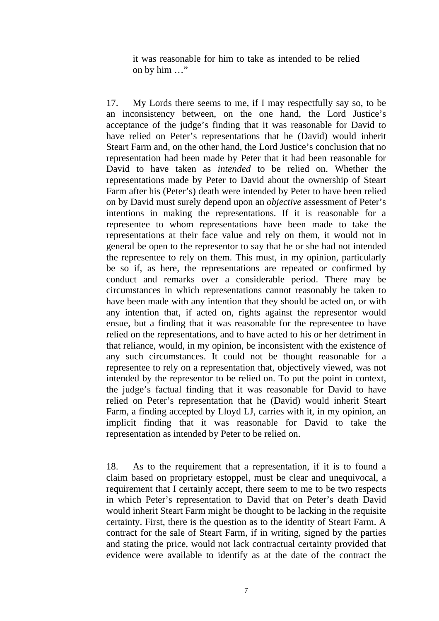it was reasonable for him to take as intended to be relied on by him …"

17. My Lords there seems to me, if I may respectfully say so, to be an inconsistency between, on the one hand, the Lord Justice's acceptance of the judge's finding that it was reasonable for David to have relied on Peter's representations that he (David) would inherit Steart Farm and, on the other hand, the Lord Justice's conclusion that no representation had been made by Peter that it had been reasonable for David to have taken as *intended* to be relied on. Whether the representations made by Peter to David about the ownership of Steart Farm after his (Peter's) death were intended by Peter to have been relied on by David must surely depend upon an *objective* assessment of Peter's intentions in making the representations. If it is reasonable for a representee to whom representations have been made to take the representations at their face value and rely on them, it would not in general be open to the representor to say that he or she had not intended the representee to rely on them. This must, in my opinion, particularly be so if, as here, the representations are repeated or confirmed by conduct and remarks over a considerable period. There may be circumstances in which representations cannot reasonably be taken to have been made with any intention that they should be acted on, or with any intention that, if acted on, rights against the representor would ensue, but a finding that it was reasonable for the representee to have relied on the representations, and to have acted to his or her detriment in that reliance, would, in my opinion, be inconsistent with the existence of any such circumstances. It could not be thought reasonable for a representee to rely on a representation that, objectively viewed, was not intended by the representor to be relied on. To put the point in context, the judge's factual finding that it was reasonable for David to have relied on Peter's representation that he (David) would inherit Steart Farm, a finding accepted by Lloyd LJ, carries with it, in my opinion, an implicit finding that it was reasonable for David to take the representation as intended by Peter to be relied on.

18. As to the requirement that a representation, if it is to found a claim based on proprietary estoppel, must be clear and unequivocal, a requirement that I certainly accept, there seem to me to be two respects in which Peter's representation to David that on Peter's death David would inherit Steart Farm might be thought to be lacking in the requisite certainty. First, there is the question as to the identity of Steart Farm. A contract for the sale of Steart Farm, if in writing, signed by the parties and stating the price, would not lack contractual certainty provided that evidence were available to identify as at the date of the contract the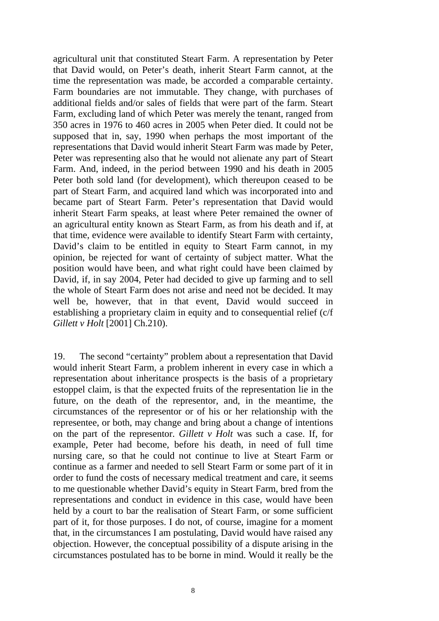agricultural unit that constituted Steart Farm. A representation by Peter that David would, on Peter's death, inherit Steart Farm cannot, at the time the representation was made, be accorded a comparable certainty. Farm boundaries are not immutable. They change, with purchases of additional fields and/or sales of fields that were part of the farm. Steart Farm, excluding land of which Peter was merely the tenant, ranged from 350 acres in 1976 to 460 acres in 2005 when Peter died. It could not be supposed that in, say, 1990 when perhaps the most important of the representations that David would inherit Steart Farm was made by Peter, Peter was representing also that he would not alienate any part of Steart Farm. And, indeed, in the period between 1990 and his death in 2005 Peter both sold land (for development), which thereupon ceased to be part of Steart Farm, and acquired land which was incorporated into and became part of Steart Farm. Peter's representation that David would inherit Steart Farm speaks, at least where Peter remained the owner of an agricultural entity known as Steart Farm, as from his death and if, at that time, evidence were available to identify Steart Farm with certainty, David's claim to be entitled in equity to Steart Farm cannot, in my opinion, be rejected for want of certainty of subject matter. What the position would have been, and what right could have been claimed by David, if, in say 2004, Peter had decided to give up farming and to sell the whole of Steart Farm does not arise and need not be decided. It may well be, however, that in that event, David would succeed in establishing a proprietary claim in equity and to consequential relief (c/f *Gillett v Holt* [2001] Ch.210).

19. The second "certainty" problem about a representation that David would inherit Steart Farm, a problem inherent in every case in which a representation about inheritance prospects is the basis of a proprietary estoppel claim, is that the expected fruits of the representation lie in the future, on the death of the representor, and, in the meantime, the circumstances of the representor or of his or her relationship with the representee, or both, may change and bring about a change of intentions on the part of the representor. *Gillett v Holt* was such a case. If, for example, Peter had become, before his death, in need of full time nursing care, so that he could not continue to live at Steart Farm or continue as a farmer and needed to sell Steart Farm or some part of it in order to fund the costs of necessary medical treatment and care, it seems to me questionable whether David's equity in Steart Farm, bred from the representations and conduct in evidence in this case, would have been held by a court to bar the realisation of Steart Farm, or some sufficient part of it, for those purposes. I do not, of course, imagine for a moment that, in the circumstances I am postulating, David would have raised any objection. However, the conceptual possibility of a dispute arising in the circumstances postulated has to be borne in mind. Would it really be the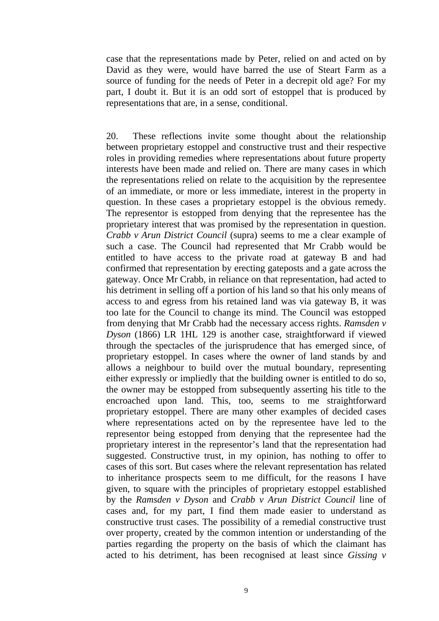case that the representations made by Peter, relied on and acted on by David as they were, would have barred the use of Steart Farm as a source of funding for the needs of Peter in a decrepit old age? For my part, I doubt it. But it is an odd sort of estoppel that is produced by representations that are, in a sense, conditional.

20. These reflections invite some thought about the relationship between proprietary estoppel and constructive trust and their respective roles in providing remedies where representations about future property interests have been made and relied on. There are many cases in which the representations relied on relate to the acquisition by the representee of an immediate, or more or less immediate, interest in the property in question. In these cases a proprietary estoppel is the obvious remedy. The representor is estopped from denying that the representee has the proprietary interest that was promised by the representation in question. *Crabb v Arun District Council* (supra) seems to me a clear example of such a case. The Council had represented that Mr Crabb would be entitled to have access to the private road at gateway B and had confirmed that representation by erecting gateposts and a gate across the gateway. Once Mr Crabb, in reliance on that representation, had acted to his detriment in selling off a portion of his land so that his only means of access to and egress from his retained land was via gateway B, it was too late for the Council to change its mind. The Council was estopped from denying that Mr Crabb had the necessary access rights. *Ramsden v Dyson* (1866) LR 1HL 129 is another case, straightforward if viewed through the spectacles of the jurisprudence that has emerged since, of proprietary estoppel. In cases where the owner of land stands by and allows a neighbour to build over the mutual boundary, representing either expressly or impliedly that the building owner is entitled to do so, the owner may be estopped from subsequently asserting his title to the encroached upon land. This, too, seems to me straightforward proprietary estoppel. There are many other examples of decided cases where representations acted on by the representee have led to the representor being estopped from denying that the representee had the proprietary interest in the representor's land that the representation had suggested. Constructive trust, in my opinion, has nothing to offer to cases of this sort. But cases where the relevant representation has related to inheritance prospects seem to me difficult, for the reasons I have given, to square with the principles of proprietary estoppel established by the *Ramsden v Dyson* and *Crabb v Arun District Council* line of cases and, for my part, I find them made easier to understand as constructive trust cases. The possibility of a remedial constructive trust over property, created by the common intention or understanding of the parties regarding the property on the basis of which the claimant has acted to his detriment, has been recognised at least since *Gissing v*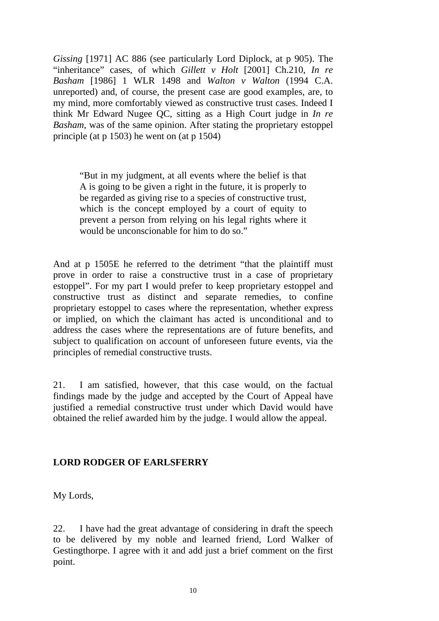*Gissing* [1971] AC 886 (see particularly Lord Diplock, at p 905). The "inheritance" cases, of which *Gillett v Holt* [2001] Ch.210, *In re Basham* [1986] 1 WLR 1498 and *Walton v Walton* (1994 C.A. unreported) and, of course, the present case are good examples, are, to my mind, more comfortably viewed as constructive trust cases. Indeed I think Mr Edward Nugee QC, sitting as a High Court judge in *In re Basham*, was of the same opinion. After stating the proprietary estoppel principle (at p 1503) he went on (at p 1504)

"But in my judgment, at all events where the belief is that A is going to be given a right in the future, it is properly to be regarded as giving rise to a species of constructive trust, which is the concept employed by a court of equity to prevent a person from relying on his legal rights where it would be unconscionable for him to do so."

And at p 1505E he referred to the detriment "that the plaintiff must prove in order to raise a constructive trust in a case of proprietary estoppel". For my part I would prefer to keep proprietary estoppel and constructive trust as distinct and separate remedies, to confine proprietary estoppel to cases where the representation, whether express or implied, on which the claimant has acted is unconditional and to address the cases where the representations are of future benefits, and subject to qualification on account of unforeseen future events, via the principles of remedial constructive trusts.

21. I am satisfied, however, that this case would, on the factual findings made by the judge and accepted by the Court of Appeal have justified a remedial constructive trust under which David would have obtained the relief awarded him by the judge. I would allow the appeal.

### **LORD RODGER OF EARLSFERRY**

My Lords,

22. I have had the great advantage of considering in draft the speech to be delivered by my noble and learned friend, Lord Walker of Gestingthorpe. I agree with it and add just a brief comment on the first point.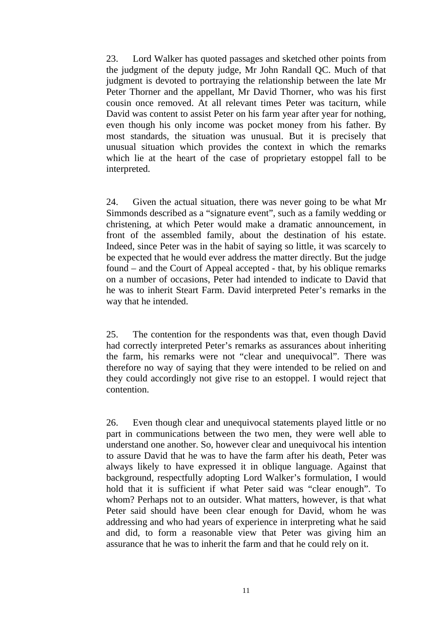23. Lord Walker has quoted passages and sketched other points from the judgment of the deputy judge, Mr John Randall QC. Much of that judgment is devoted to portraying the relationship between the late Mr Peter Thorner and the appellant, Mr David Thorner, who was his first cousin once removed. At all relevant times Peter was taciturn, while David was content to assist Peter on his farm year after year for nothing, even though his only income was pocket money from his father. By most standards, the situation was unusual. But it is precisely that unusual situation which provides the context in which the remarks which lie at the heart of the case of proprietary estoppel fall to be interpreted.

24. Given the actual situation, there was never going to be what Mr Simmonds described as a "signature event", such as a family wedding or christening, at which Peter would make a dramatic announcement, in front of the assembled family, about the destination of his estate. Indeed, since Peter was in the habit of saying so little, it was scarcely to be expected that he would ever address the matter directly. But the judge found – and the Court of Appeal accepted - that, by his oblique remarks on a number of occasions, Peter had intended to indicate to David that he was to inherit Steart Farm. David interpreted Peter's remarks in the way that he intended.

25. The contention for the respondents was that, even though David had correctly interpreted Peter's remarks as assurances about inheriting the farm, his remarks were not "clear and unequivocal". There was therefore no way of saying that they were intended to be relied on and they could accordingly not give rise to an estoppel. I would reject that contention.

26. Even though clear and unequivocal statements played little or no part in communications between the two men, they were well able to understand one another. So, however clear and unequivocal his intention to assure David that he was to have the farm after his death, Peter was always likely to have expressed it in oblique language. Against that background, respectfully adopting Lord Walker's formulation, I would hold that it is sufficient if what Peter said was "clear enough". To whom? Perhaps not to an outsider. What matters, however, is that what Peter said should have been clear enough for David, whom he was addressing and who had years of experience in interpreting what he said and did, to form a reasonable view that Peter was giving him an assurance that he was to inherit the farm and that he could rely on it.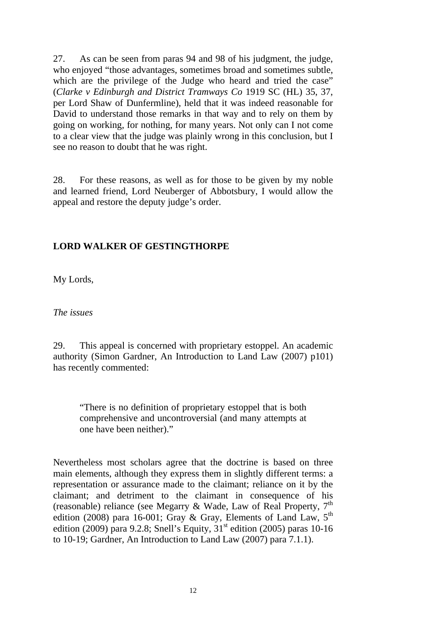27. As can be seen from paras 94 and 98 of his judgment, the judge, who enjoyed "those advantages, sometimes broad and sometimes subtle, which are the privilege of the Judge who heard and tried the case" (*Clarke v Edinburgh and District Tramways Co* 1919 SC (HL) 35, 37, per Lord Shaw of Dunfermline), held that it was indeed reasonable for David to understand those remarks in that way and to rely on them by going on working, for nothing, for many years. Not only can I not come to a clear view that the judge was plainly wrong in this conclusion, but I see no reason to doubt that he was right.

28. For these reasons, as well as for those to be given by my noble and learned friend, Lord Neuberger of Abbotsbury, I would allow the appeal and restore the deputy judge's order.

## **LORD WALKER OF GESTINGTHORPE**

My Lords,

*The issues* 

29. This appeal is concerned with proprietary estoppel. An academic authority (Simon Gardner, An Introduction to Land Law (2007) p101) has recently commented:

"There is no definition of proprietary estoppel that is both comprehensive and uncontroversial (and many attempts at one have been neither)."

Nevertheless most scholars agree that the doctrine is based on three main elements, although they express them in slightly different terms: a representation or assurance made to the claimant; reliance on it by the claimant; and detriment to the claimant in consequence of his (reasonable) reliance (see Megarry & Wade, Law of Real Property,  $7<sup>th</sup>$ edition (2008) para 16-001; Gray & Gray, Elements of Land Law,  $5<sup>th</sup>$ edition (2009) para 9.2.8; Snell's Equity,  $31<sup>st</sup>$  edition (2005) paras 10-16 to 10-19; Gardner, An Introduction to Land Law (2007) para 7.1.1).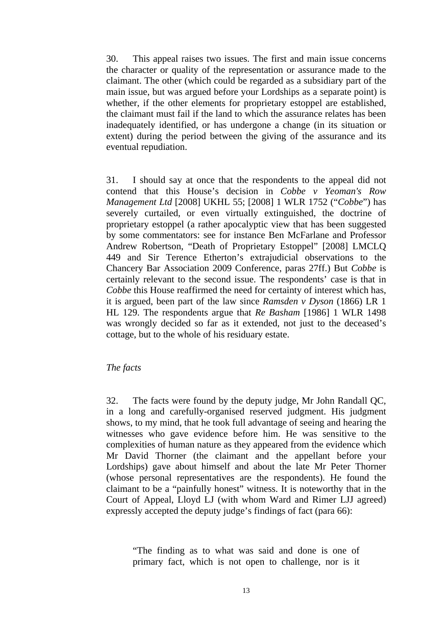30. This appeal raises two issues. The first and main issue concerns the character or quality of the representation or assurance made to the claimant. The other (which could be regarded as a subsidiary part of the main issue, but was argued before your Lordships as a separate point) is whether, if the other elements for proprietary estoppel are established, the claimant must fail if the land to which the assurance relates has been inadequately identified, or has undergone a change (in its situation or extent) during the period between the giving of the assurance and its eventual repudiation.

31. I should say at once that the respondents to the appeal did not contend that this House's decision in *Cobbe v Yeoman's Row Management Ltd* [2008] UKHL 55; [2008] 1 WLR 1752 ("*Cobbe*") has severely curtailed, or even virtually extinguished, the doctrine of proprietary estoppel (a rather apocalyptic view that has been suggested by some commentators: see for instance Ben McFarlane and Professor Andrew Robertson, "Death of Proprietary Estoppel" [2008] LMCLQ 449 and Sir Terence Etherton's extrajudicial observations to the Chancery Bar Association 2009 Conference, paras 27ff.) But *Cobbe* is certainly relevant to the second issue. The respondents' case is that in *Cobbe* this House reaffirmed the need for certainty of interest which has, it is argued, been part of the law since *Ramsden v Dyson* (1866) LR 1 HL 129. The respondents argue that *Re Basham* [1986] 1 WLR 1498 was wrongly decided so far as it extended, not just to the deceased's cottage, but to the whole of his residuary estate.

#### *The facts*

32. The facts were found by the deputy judge, Mr John Randall QC, in a long and carefully-organised reserved judgment. His judgment shows, to my mind, that he took full advantage of seeing and hearing the witnesses who gave evidence before him. He was sensitive to the complexities of human nature as they appeared from the evidence which Mr David Thorner (the claimant and the appellant before your Lordships) gave about himself and about the late Mr Peter Thorner (whose personal representatives are the respondents). He found the claimant to be a "painfully honest" witness. It is noteworthy that in the Court of Appeal, Lloyd LJ (with whom Ward and Rimer LJJ agreed) expressly accepted the deputy judge's findings of fact (para 66):

"The finding as to what was said and done is one of primary fact, which is not open to challenge, nor is it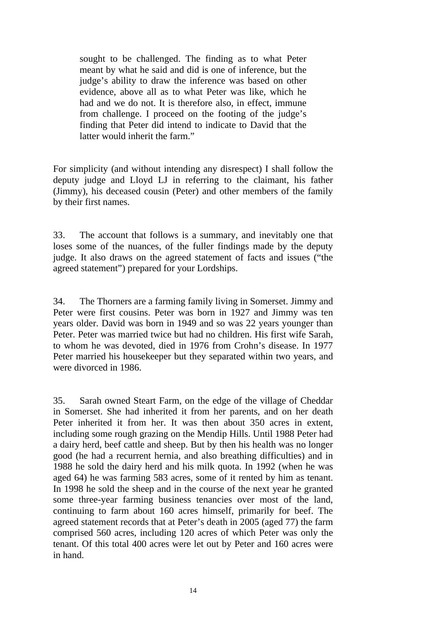sought to be challenged. The finding as to what Peter meant by what he said and did is one of inference, but the judge's ability to draw the inference was based on other evidence, above all as to what Peter was like, which he had and we do not. It is therefore also, in effect, immune from challenge. I proceed on the footing of the judge's finding that Peter did intend to indicate to David that the latter would inherit the farm."

For simplicity (and without intending any disrespect) I shall follow the deputy judge and Lloyd LJ in referring to the claimant, his father (Jimmy), his deceased cousin (Peter) and other members of the family by their first names.

33. The account that follows is a summary, and inevitably one that loses some of the nuances, of the fuller findings made by the deputy judge. It also draws on the agreed statement of facts and issues ("the agreed statement") prepared for your Lordships.

34. The Thorners are a farming family living in Somerset. Jimmy and Peter were first cousins. Peter was born in 1927 and Jimmy was ten years older. David was born in 1949 and so was 22 years younger than Peter. Peter was married twice but had no children. His first wife Sarah, to whom he was devoted, died in 1976 from Crohn's disease. In 1977 Peter married his housekeeper but they separated within two years, and were divorced in 1986.

35. Sarah owned Steart Farm, on the edge of the village of Cheddar in Somerset. She had inherited it from her parents, and on her death Peter inherited it from her. It was then about 350 acres in extent, including some rough grazing on the Mendip Hills. Until 1988 Peter had a dairy herd, beef cattle and sheep. But by then his health was no longer good (he had a recurrent hernia, and also breathing difficulties) and in 1988 he sold the dairy herd and his milk quota. In 1992 (when he was aged 64) he was farming 583 acres, some of it rented by him as tenant. In 1998 he sold the sheep and in the course of the next year he granted some three-year farming business tenancies over most of the land, continuing to farm about 160 acres himself, primarily for beef. The agreed statement records that at Peter's death in 2005 (aged 77) the farm comprised 560 acres, including 120 acres of which Peter was only the tenant. Of this total 400 acres were let out by Peter and 160 acres were in hand.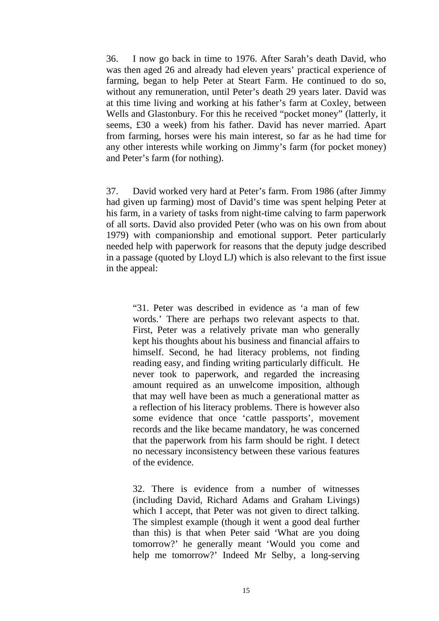36. I now go back in time to 1976. After Sarah's death David, who was then aged 26 and already had eleven years' practical experience of farming, began to help Peter at Steart Farm. He continued to do so, without any remuneration, until Peter's death 29 years later. David was at this time living and working at his father's farm at Coxley, between Wells and Glastonbury. For this he received "pocket money" (latterly, it seems, £30 a week) from his father. David has never married. Apart from farming, horses were his main interest, so far as he had time for any other interests while working on Jimmy's farm (for pocket money) and Peter's farm (for nothing).

37. David worked very hard at Peter's farm. From 1986 (after Jimmy had given up farming) most of David's time was spent helping Peter at his farm, in a variety of tasks from night-time calving to farm paperwork of all sorts. David also provided Peter (who was on his own from about 1979) with companionship and emotional support. Peter particularly needed help with paperwork for reasons that the deputy judge described in a passage (quoted by Lloyd LJ) which is also relevant to the first issue in the appeal:

"31. Peter was described in evidence as 'a man of few words.' There are perhaps two relevant aspects to that. First, Peter was a relatively private man who generally kept his thoughts about his business and financial affairs to himself. Second, he had literacy problems, not finding reading easy, and finding writing particularly difficult. He never took to paperwork, and regarded the increasing amount required as an unwelcome imposition, although that may well have been as much a generational matter as a reflection of his literacy problems. There is however also some evidence that once 'cattle passports', movement records and the like became mandatory, he was concerned that the paperwork from his farm should be right. I detect no necessary inconsistency between these various features of the evidence.

32. There is evidence from a number of witnesses (including David, Richard Adams and Graham Livings) which I accept, that Peter was not given to direct talking. The simplest example (though it went a good deal further than this) is that when Peter said 'What are you doing tomorrow?' he generally meant 'Would you come and help me tomorrow?' Indeed Mr Selby, a long-serving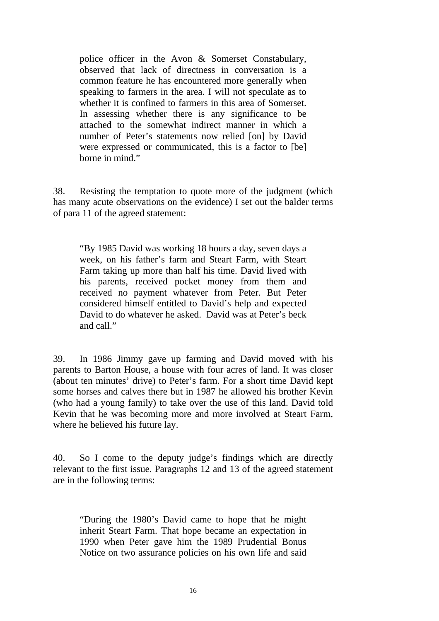police officer in the Avon & Somerset Constabulary, observed that lack of directness in conversation is a common feature he has encountered more generally when speaking to farmers in the area. I will not speculate as to whether it is confined to farmers in this area of Somerset. In assessing whether there is any significance to be attached to the somewhat indirect manner in which a number of Peter's statements now relied [on] by David were expressed or communicated, this is a factor to [be] borne in mind."

38. Resisting the temptation to quote more of the judgment (which has many acute observations on the evidence) I set out the balder terms of para 11 of the agreed statement:

"By 1985 David was working 18 hours a day, seven days a week, on his father's farm and Steart Farm, with Steart Farm taking up more than half his time. David lived with his parents, received pocket money from them and received no payment whatever from Peter. But Peter considered himself entitled to David's help and expected David to do whatever he asked. David was at Peter's beck and call."

39. In 1986 Jimmy gave up farming and David moved with his parents to Barton House, a house with four acres of land. It was closer (about ten minutes' drive) to Peter's farm. For a short time David kept some horses and calves there but in 1987 he allowed his brother Kevin (who had a young family) to take over the use of this land. David told Kevin that he was becoming more and more involved at Steart Farm, where he believed his future lay.

40. So I come to the deputy judge's findings which are directly relevant to the first issue. Paragraphs 12 and 13 of the agreed statement are in the following terms:

"During the 1980's David came to hope that he might inherit Steart Farm. That hope became an expectation in 1990 when Peter gave him the 1989 Prudential Bonus Notice on two assurance policies on his own life and said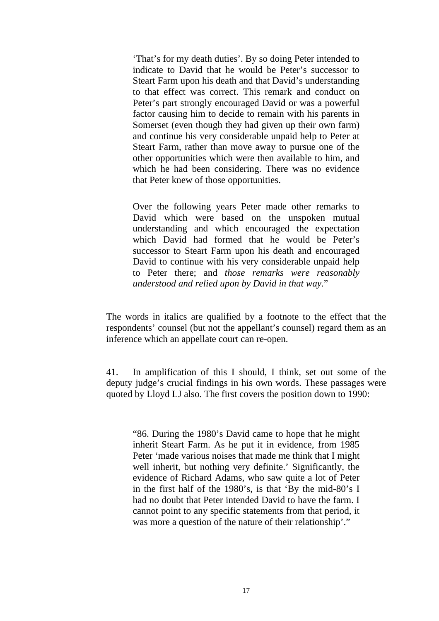'That's for my death duties'. By so doing Peter intended to indicate to David that he would be Peter's successor to Steart Farm upon his death and that David's understanding to that effect was correct. This remark and conduct on Peter's part strongly encouraged David or was a powerful factor causing him to decide to remain with his parents in Somerset (even though they had given up their own farm) and continue his very considerable unpaid help to Peter at Steart Farm, rather than move away to pursue one of the other opportunities which were then available to him, and which he had been considering. There was no evidence that Peter knew of those opportunities.

Over the following years Peter made other remarks to David which were based on the unspoken mutual understanding and which encouraged the expectation which David had formed that he would be Peter's successor to Steart Farm upon his death and encouraged David to continue with his very considerable unpaid help to Peter there; and *those remarks were reasonably understood and relied upon by David in that way.*"

The words in italics are qualified by a footnote to the effect that the respondents' counsel (but not the appellant's counsel) regard them as an inference which an appellate court can re-open.

41. In amplification of this I should, I think, set out some of the deputy judge's crucial findings in his own words. These passages were quoted by Lloyd LJ also. The first covers the position down to 1990:

"86. During the 1980's David came to hope that he might inherit Steart Farm. As he put it in evidence, from 1985 Peter 'made various noises that made me think that I might well inherit, but nothing very definite.' Significantly, the evidence of Richard Adams, who saw quite a lot of Peter in the first half of the 1980's, is that 'By the mid-80's I had no doubt that Peter intended David to have the farm. I cannot point to any specific statements from that period, it was more a question of the nature of their relationship'."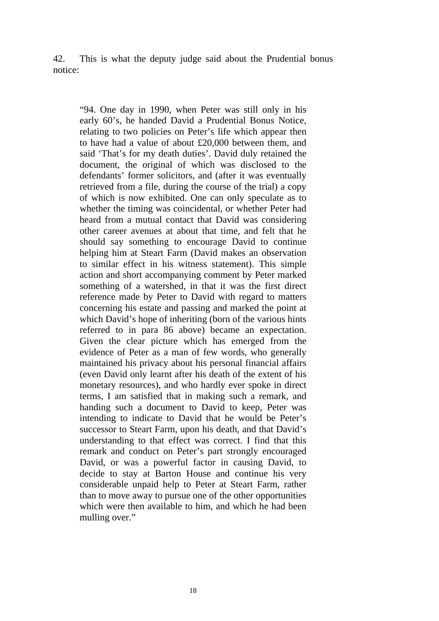42. This is what the deputy judge said about the Prudential bonus notice:

"94. One day in 1990, when Peter was still only in his early 60's, he handed David a Prudential Bonus Notice, relating to two policies on Peter's life which appear then to have had a value of about £20,000 between them, and said 'That's for my death duties'. David duly retained the document, the original of which was disclosed to the defendants' former solicitors, and (after it was eventually retrieved from a file, during the course of the trial) a copy of which is now exhibited. One can only speculate as to whether the timing was coincidental, or whether Peter had heard from a mutual contact that David was considering other career avenues at about that time, and felt that he should say something to encourage David to continue helping him at Steart Farm (David makes an observation to similar effect in his witness statement). This simple action and short accompanying comment by Peter marked something of a watershed, in that it was the first direct reference made by Peter to David with regard to matters concerning his estate and passing and marked the point at which David's hope of inheriting (born of the various hints referred to in para 86 above) became an expectation. Given the clear picture which has emerged from the evidence of Peter as a man of few words, who generally maintained his privacy about his personal financial affairs (even David only learnt after his death of the extent of his monetary resources), and who hardly ever spoke in direct terms, I am satisfied that in making such a remark, and handing such a document to David to keep, Peter was intending to indicate to David that he would be Peter's successor to Steart Farm, upon his death, and that David's understanding to that effect was correct. I find that this remark and conduct on Peter's part strongly encouraged David, or was a powerful factor in causing David, to decide to stay at Barton House and continue his very considerable unpaid help to Peter at Steart Farm, rather than to move away to pursue one of the other opportunities which were then available to him, and which he had been mulling over."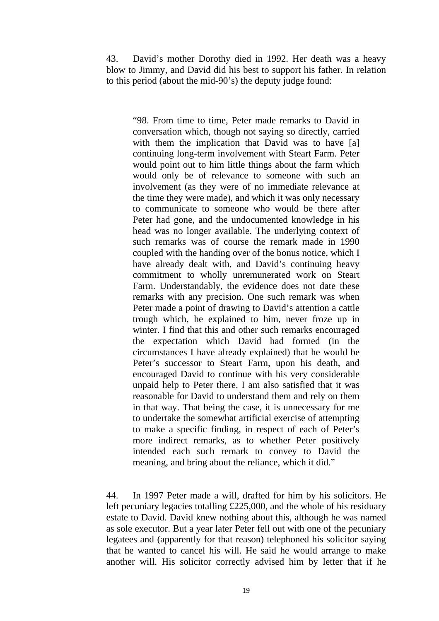43. David's mother Dorothy died in 1992. Her death was a heavy blow to Jimmy, and David did his best to support his father. In relation to this period (about the mid-90's) the deputy judge found:

"98. From time to time, Peter made remarks to David in conversation which, though not saying so directly, carried with them the implication that David was to have [a] continuing long-term involvement with Steart Farm. Peter would point out to him little things about the farm which would only be of relevance to someone with such an involvement (as they were of no immediate relevance at the time they were made), and which it was only necessary to communicate to someone who would be there after Peter had gone, and the undocumented knowledge in his head was no longer available. The underlying context of such remarks was of course the remark made in 1990 coupled with the handing over of the bonus notice, which I have already dealt with, and David's continuing heavy commitment to wholly unremunerated work on Steart Farm. Understandably, the evidence does not date these remarks with any precision. One such remark was when Peter made a point of drawing to David's attention a cattle trough which, he explained to him, never froze up in winter. I find that this and other such remarks encouraged the expectation which David had formed (in the circumstances I have already explained) that he would be Peter's successor to Steart Farm, upon his death, and encouraged David to continue with his very considerable unpaid help to Peter there. I am also satisfied that it was reasonable for David to understand them and rely on them in that way. That being the case, it is unnecessary for me to undertake the somewhat artificial exercise of attempting to make a specific finding, in respect of each of Peter's more indirect remarks, as to whether Peter positively intended each such remark to convey to David the meaning, and bring about the reliance, which it did."

44. In 1997 Peter made a will, drafted for him by his solicitors. He left pecuniary legacies totalling £225,000, and the whole of his residuary estate to David. David knew nothing about this, although he was named as sole executor. But a year later Peter fell out with one of the pecuniary legatees and (apparently for that reason) telephoned his solicitor saying that he wanted to cancel his will. He said he would arrange to make another will. His solicitor correctly advised him by letter that if he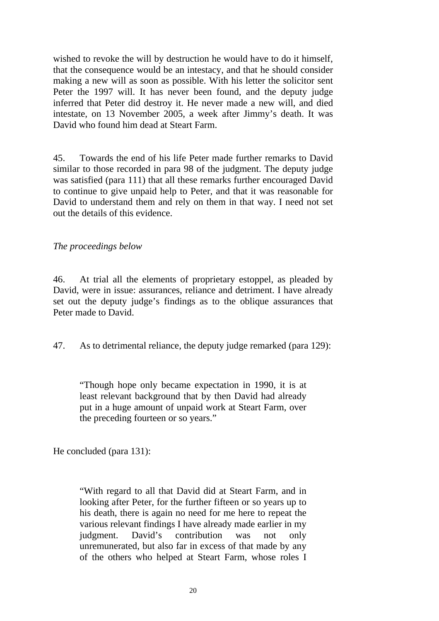wished to revoke the will by destruction he would have to do it himself, that the consequence would be an intestacy, and that he should consider making a new will as soon as possible. With his letter the solicitor sent Peter the 1997 will. It has never been found, and the deputy judge inferred that Peter did destroy it. He never made a new will, and died intestate, on 13 November 2005, a week after Jimmy's death. It was David who found him dead at Steart Farm.

45. Towards the end of his life Peter made further remarks to David similar to those recorded in para 98 of the judgment. The deputy judge was satisfied (para 111) that all these remarks further encouraged David to continue to give unpaid help to Peter, and that it was reasonable for David to understand them and rely on them in that way. I need not set out the details of this evidence.

## *The proceedings below*

46. At trial all the elements of proprietary estoppel, as pleaded by David, were in issue: assurances, reliance and detriment. I have already set out the deputy judge's findings as to the oblique assurances that Peter made to David.

47. As to detrimental reliance, the deputy judge remarked (para 129):

"Though hope only became expectation in 1990, it is at least relevant background that by then David had already put in a huge amount of unpaid work at Steart Farm, over the preceding fourteen or so years."

He concluded (para 131):

"With regard to all that David did at Steart Farm, and in looking after Peter, for the further fifteen or so years up to his death, there is again no need for me here to repeat the various relevant findings I have already made earlier in my judgment. David's contribution was not only unremunerated, but also far in excess of that made by any of the others who helped at Steart Farm, whose roles I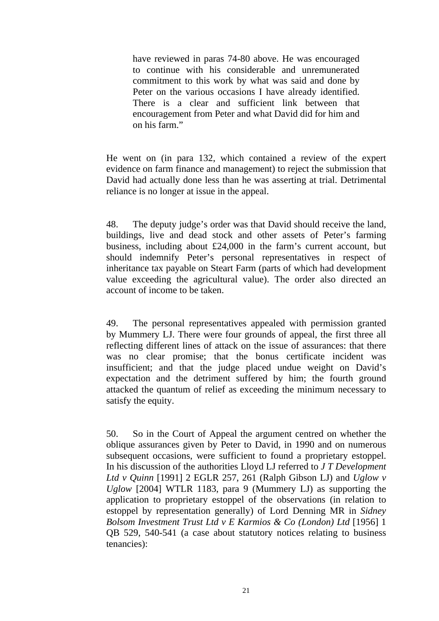have reviewed in paras 74-80 above. He was encouraged to continue with his considerable and unremunerated commitment to this work by what was said and done by Peter on the various occasions I have already identified. There is a clear and sufficient link between that encouragement from Peter and what David did for him and on his farm."

He went on (in para 132, which contained a review of the expert evidence on farm finance and management) to reject the submission that David had actually done less than he was asserting at trial. Detrimental reliance is no longer at issue in the appeal.

48. The deputy judge's order was that David should receive the land, buildings, live and dead stock and other assets of Peter's farming business, including about £24,000 in the farm's current account, but should indemnify Peter's personal representatives in respect of inheritance tax payable on Steart Farm (parts of which had development value exceeding the agricultural value). The order also directed an account of income to be taken.

49. The personal representatives appealed with permission granted by Mummery LJ. There were four grounds of appeal, the first three all reflecting different lines of attack on the issue of assurances: that there was no clear promise; that the bonus certificate incident was insufficient; and that the judge placed undue weight on David's expectation and the detriment suffered by him; the fourth ground attacked the quantum of relief as exceeding the minimum necessary to satisfy the equity.

50. So in the Court of Appeal the argument centred on whether the oblique assurances given by Peter to David, in 1990 and on numerous subsequent occasions, were sufficient to found a proprietary estoppel. In his discussion of the authorities Lloyd LJ referred to *J T Development Ltd v Quinn* [1991] 2 EGLR 257, 261 (Ralph Gibson LJ) and *Uglow v Uglow* [2004] WTLR 1183, para 9 (Mummery LJ) as supporting the application to proprietary estoppel of the observations (in relation to estoppel by representation generally) of Lord Denning MR in *Sidney Bolsom Investment Trust Ltd v E Karmios & Co (London) Ltd* [1956] 1 QB 529, 540-541 (a case about statutory notices relating to business tenancies):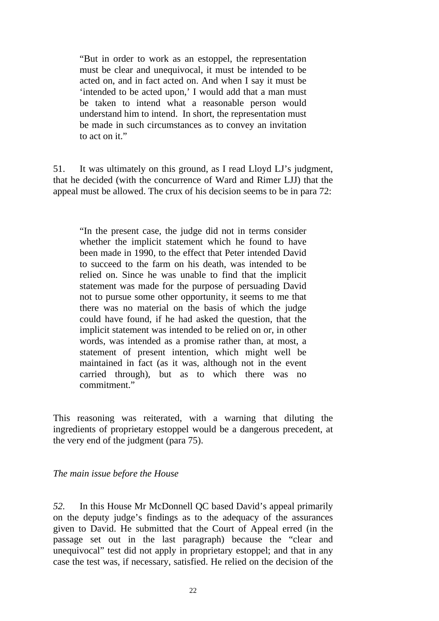"But in order to work as an estoppel, the representation must be clear and unequivocal, it must be intended to be acted on, and in fact acted on. And when I say it must be 'intended to be acted upon,' I would add that a man must be taken to intend what a reasonable person would understand him to intend. In short, the representation must be made in such circumstances as to convey an invitation to act on it."

51. It was ultimately on this ground, as I read Lloyd LJ's judgment, that he decided (with the concurrence of Ward and Rimer LJJ) that the appeal must be allowed. The crux of his decision seems to be in para 72:

"In the present case, the judge did not in terms consider whether the implicit statement which he found to have been made in 1990, to the effect that Peter intended David to succeed to the farm on his death, was intended to be relied on. Since he was unable to find that the implicit statement was made for the purpose of persuading David not to pursue some other opportunity, it seems to me that there was no material on the basis of which the judge could have found, if he had asked the question, that the implicit statement was intended to be relied on or, in other words, was intended as a promise rather than, at most, a statement of present intention, which might well be maintained in fact (as it was, although not in the event carried through), but as to which there was no commitment."

This reasoning was reiterated, with a warning that diluting the ingredients of proprietary estoppel would be a dangerous precedent, at the very end of the judgment (para 75).

## *The main issue before the House*

*52.* In this House Mr McDonnell QC based David's appeal primarily on the deputy judge's findings as to the adequacy of the assurances given to David. He submitted that the Court of Appeal erred (in the passage set out in the last paragraph) because the "clear and unequivocal" test did not apply in proprietary estoppel; and that in any case the test was, if necessary, satisfied. He relied on the decision of the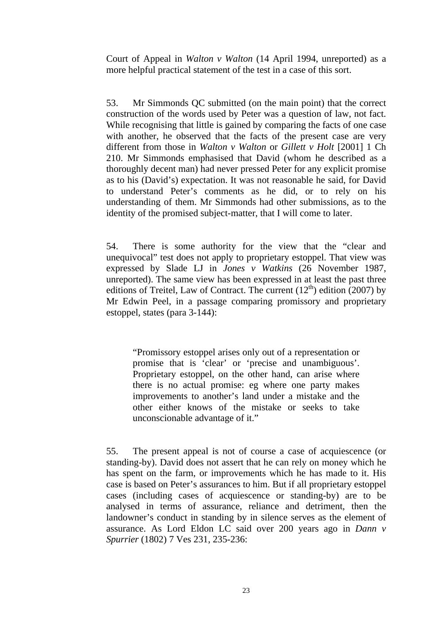Court of Appeal in *Walton v Walton* (14 April 1994, unreported) as a more helpful practical statement of the test in a case of this sort.

53. Mr Simmonds QC submitted (on the main point) that the correct construction of the words used by Peter was a question of law, not fact. While recognising that little is gained by comparing the facts of one case with another, he observed that the facts of the present case are very different from those in *Walton v Walton* or *Gillett v Holt* [2001] 1 Ch 210. Mr Simmonds emphasised that David (whom he described as a thoroughly decent man) had never pressed Peter for any explicit promise as to his (David's) expectation. It was not reasonable he said, for David to understand Peter's comments as he did, or to rely on his understanding of them. Mr Simmonds had other submissions, as to the identity of the promised subject-matter, that I will come to later.

54. There is some authority for the view that the "clear and unequivocal" test does not apply to proprietary estoppel. That view was expressed by Slade LJ in *Jones v Watkins* (26 November 1987, unreported). The same view has been expressed in at least the past three editions of Treitel, Law of Contract. The current  $(12<sup>th</sup>)$  edition (2007) by Mr Edwin Peel, in a passage comparing promissory and proprietary estoppel, states (para 3-144):

"Promissory estoppel arises only out of a representation or promise that is 'clear' or 'precise and unambiguous'. Proprietary estoppel, on the other hand, can arise where there is no actual promise: eg where one party makes improvements to another's land under a mistake and the other either knows of the mistake or seeks to take unconscionable advantage of it."

55. The present appeal is not of course a case of acquiescence (or standing-by). David does not assert that he can rely on money which he has spent on the farm, or improvements which he has made to it. His case is based on Peter's assurances to him. But if all proprietary estoppel cases (including cases of acquiescence or standing-by) are to be analysed in terms of assurance, reliance and detriment, then the landowner's conduct in standing by in silence serves as the element of assurance. As Lord Eldon LC said over 200 years ago in *Dann v Spurrier* (1802) 7 Ves 231, 235-236: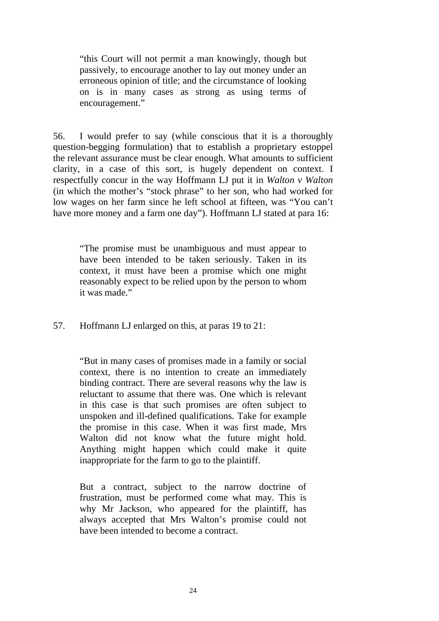"this Court will not permit a man knowingly, though but passively, to encourage another to lay out money under an erroneous opinion of title; and the circumstance of looking on is in many cases as strong as using terms of encouragement."

56. I would prefer to say (while conscious that it is a thoroughly question-begging formulation) that to establish a proprietary estoppel the relevant assurance must be clear enough. What amounts to sufficient clarity, in a case of this sort, is hugely dependent on context. I respectfully concur in the way Hoffmann LJ put it in *Walton v Walton* (in which the mother's "stock phrase" to her son, who had worked for low wages on her farm since he left school at fifteen, was "You can't have more money and a farm one day"). Hoffmann LJ stated at para 16:

"The promise must be unambiguous and must appear to have been intended to be taken seriously. Taken in its context, it must have been a promise which one might reasonably expect to be relied upon by the person to whom it was made."

57. Hoffmann LJ enlarged on this, at paras 19 to 21:

"But in many cases of promises made in a family or social context, there is no intention to create an immediately binding contract. There are several reasons why the law is reluctant to assume that there was. One which is relevant in this case is that such promises are often subject to unspoken and ill-defined qualifications. Take for example the promise in this case. When it was first made, Mrs Walton did not know what the future might hold. Anything might happen which could make it quite inappropriate for the farm to go to the plaintiff.

But a contract, subject to the narrow doctrine of frustration, must be performed come what may. This is why Mr Jackson, who appeared for the plaintiff, has always accepted that Mrs Walton's promise could not have been intended to become a contract.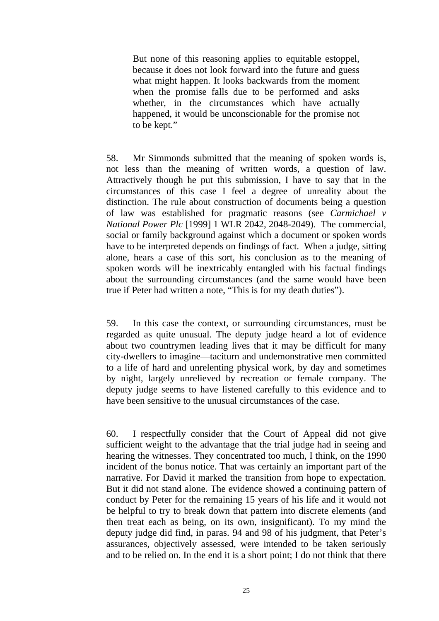But none of this reasoning applies to equitable estoppel, because it does not look forward into the future and guess what might happen. It looks backwards from the moment when the promise falls due to be performed and asks whether, in the circumstances which have actually happened, it would be unconscionable for the promise not to be kept."

58. Mr Simmonds submitted that the meaning of spoken words is, not less than the meaning of written words, a question of law. Attractively though he put this submission, I have to say that in the circumstances of this case I feel a degree of unreality about the distinction. The rule about construction of documents being a question of law was established for pragmatic reasons (see *Carmichael v National Power Plc* [1999] 1 WLR 2042, 2048-2049). The commercial, social or family background against which a document or spoken words have to be interpreted depends on findings of fact. When a judge, sitting alone, hears a case of this sort, his conclusion as to the meaning of spoken words will be inextricably entangled with his factual findings about the surrounding circumstances (and the same would have been true if Peter had written a note, "This is for my death duties").

59. In this case the context, or surrounding circumstances, must be regarded as quite unusual. The deputy judge heard a lot of evidence about two countrymen leading lives that it may be difficult for many city-dwellers to imagine—taciturn and undemonstrative men committed to a life of hard and unrelenting physical work, by day and sometimes by night, largely unrelieved by recreation or female company. The deputy judge seems to have listened carefully to this evidence and to have been sensitive to the unusual circumstances of the case.

60. I respectfully consider that the Court of Appeal did not give sufficient weight to the advantage that the trial judge had in seeing and hearing the witnesses. They concentrated too much, I think, on the 1990 incident of the bonus notice. That was certainly an important part of the narrative. For David it marked the transition from hope to expectation. But it did not stand alone. The evidence showed a continuing pattern of conduct by Peter for the remaining 15 years of his life and it would not be helpful to try to break down that pattern into discrete elements (and then treat each as being, on its own, insignificant). To my mind the deputy judge did find, in paras. 94 and 98 of his judgment, that Peter's assurances, objectively assessed, were intended to be taken seriously and to be relied on. In the end it is a short point; I do not think that there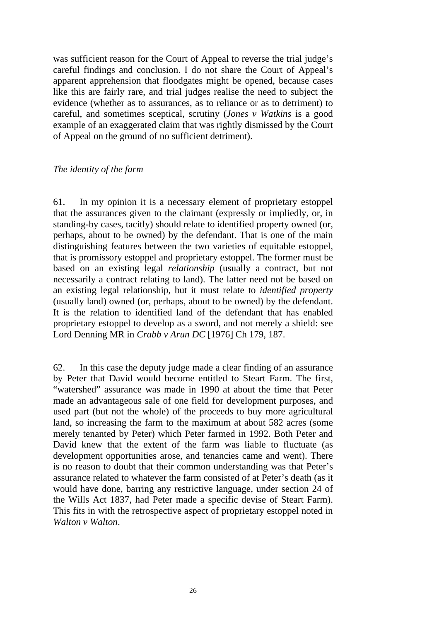was sufficient reason for the Court of Appeal to reverse the trial judge's careful findings and conclusion. I do not share the Court of Appeal's apparent apprehension that floodgates might be opened, because cases like this are fairly rare, and trial judges realise the need to subject the evidence (whether as to assurances, as to reliance or as to detriment) to careful, and sometimes sceptical, scrutiny (*Jones v Watkins* is a good example of an exaggerated claim that was rightly dismissed by the Court of Appeal on the ground of no sufficient detriment).

#### *The identity of the farm*

61. In my opinion it is a necessary element of proprietary estoppel that the assurances given to the claimant (expressly or impliedly, or, in standing-by cases, tacitly) should relate to identified property owned (or, perhaps, about to be owned) by the defendant. That is one of the main distinguishing features between the two varieties of equitable estoppel, that is promissory estoppel and proprietary estoppel. The former must be based on an existing legal *relationship* (usually a contract, but not necessarily a contract relating to land). The latter need not be based on an existing legal relationship, but it must relate to *identified property* (usually land) owned (or, perhaps, about to be owned) by the defendant. It is the relation to identified land of the defendant that has enabled proprietary estoppel to develop as a sword, and not merely a shield: see Lord Denning MR in *Crabb v Arun DC* [1976] Ch 179, 187.

62. In this case the deputy judge made a clear finding of an assurance by Peter that David would become entitled to Steart Farm. The first, "watershed" assurance was made in 1990 at about the time that Peter made an advantageous sale of one field for development purposes, and used part (but not the whole) of the proceeds to buy more agricultural land, so increasing the farm to the maximum at about 582 acres (some merely tenanted by Peter) which Peter farmed in 1992. Both Peter and David knew that the extent of the farm was liable to fluctuate (as development opportunities arose, and tenancies came and went). There is no reason to doubt that their common understanding was that Peter's assurance related to whatever the farm consisted of at Peter's death (as it would have done, barring any restrictive language, under section 24 of the Wills Act 1837, had Peter made a specific devise of Steart Farm). This fits in with the retrospective aspect of proprietary estoppel noted in *Walton v Walton*.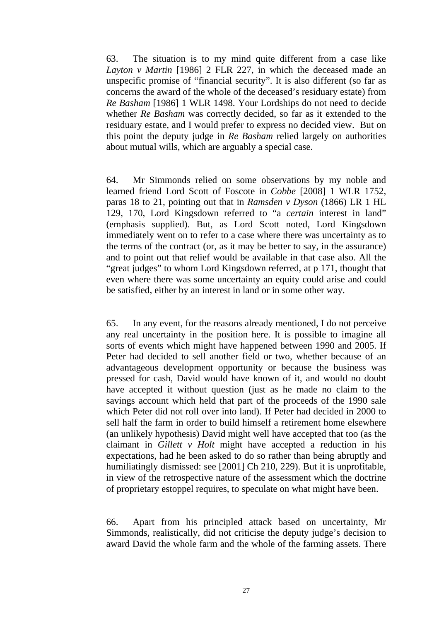63. The situation is to my mind quite different from a case like *Layton v Martin* [1986] 2 FLR 227, in which the deceased made an unspecific promise of "financial security". It is also different (so far as concerns the award of the whole of the deceased's residuary estate) from *Re Basham* [1986] 1 WLR 1498. Your Lordships do not need to decide whether *Re Basham* was correctly decided, so far as it extended to the residuary estate, and I would prefer to express no decided view. But on this point the deputy judge in *Re Basham* relied largely on authorities about mutual wills, which are arguably a special case.

64. Mr Simmonds relied on some observations by my noble and learned friend Lord Scott of Foscote in *Cobbe* [2008] 1 WLR 1752, paras 18 to 21, pointing out that in *Ramsden v Dyson* (1866) LR 1 HL 129, 170, Lord Kingsdown referred to "a *certain* interest in land" (emphasis supplied). But, as Lord Scott noted, Lord Kingsdown immediately went on to refer to a case where there was uncertainty as to the terms of the contract (or, as it may be better to say, in the assurance) and to point out that relief would be available in that case also. All the "great judges" to whom Lord Kingsdown referred, at p 171, thought that even where there was some uncertainty an equity could arise and could be satisfied, either by an interest in land or in some other way.

65. In any event, for the reasons already mentioned, I do not perceive any real uncertainty in the position here. It is possible to imagine all sorts of events which might have happened between 1990 and 2005. If Peter had decided to sell another field or two, whether because of an advantageous development opportunity or because the business was pressed for cash, David would have known of it, and would no doubt have accepted it without question (just as he made no claim to the savings account which held that part of the proceeds of the 1990 sale which Peter did not roll over into land). If Peter had decided in 2000 to sell half the farm in order to build himself a retirement home elsewhere (an unlikely hypothesis) David might well have accepted that too (as the claimant in *Gillett v Holt* might have accepted a reduction in his expectations, had he been asked to do so rather than being abruptly and humiliatingly dismissed: see [2001] Ch 210, 229). But it is unprofitable, in view of the retrospective nature of the assessment which the doctrine of proprietary estoppel requires, to speculate on what might have been.

66. Apart from his principled attack based on uncertainty, Mr Simmonds, realistically, did not criticise the deputy judge's decision to award David the whole farm and the whole of the farming assets. There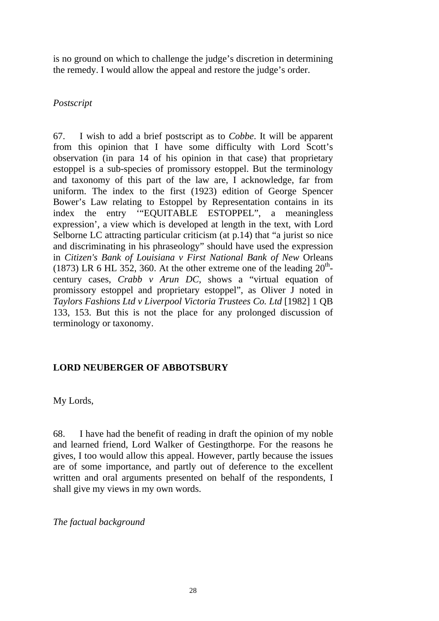is no ground on which to challenge the judge's discretion in determining the remedy. I would allow the appeal and restore the judge's order.

## *Postscript*

67. I wish to add a brief postscript as to *Cobbe*. It will be apparent from this opinion that I have some difficulty with Lord Scott's observation (in para 14 of his opinion in that case) that proprietary estoppel is a sub-species of promissory estoppel. But the terminology and taxonomy of this part of the law are, I acknowledge, far from uniform. The index to the first (1923) edition of George Spencer Bower's Law relating to Estoppel by Representation contains in its index the entry '"EQUITABLE ESTOPPEL", a meaningless expression', a view which is developed at length in the text, with Lord Selborne LC attracting particular criticism (at p.14) that "a jurist so nice and discriminating in his phraseology" should have used the expression in *Citizen's Bank of Louisiana v First National Bank of New* Orleans (1873) LR 6 HL 352, 360. At the other extreme one of the leading  $20^{th}$ century cases, *Crabb v Arun DC*, shows a "virtual equation of promissory estoppel and proprietary estoppel", as Oliver J noted in *Taylors Fashions Ltd v Liverpool Victoria Trustees Co. Ltd* [1982] 1 QB 133, 153. But this is not the place for any prolonged discussion of terminology or taxonomy.

## **LORD NEUBERGER OF ABBOTSBURY**

My Lords,

68. I have had the benefit of reading in draft the opinion of my noble and learned friend, Lord Walker of Gestingthorpe. For the reasons he gives, I too would allow this appeal. However, partly because the issues are of some importance, and partly out of deference to the excellent written and oral arguments presented on behalf of the respondents, I shall give my views in my own words.

*The factual background*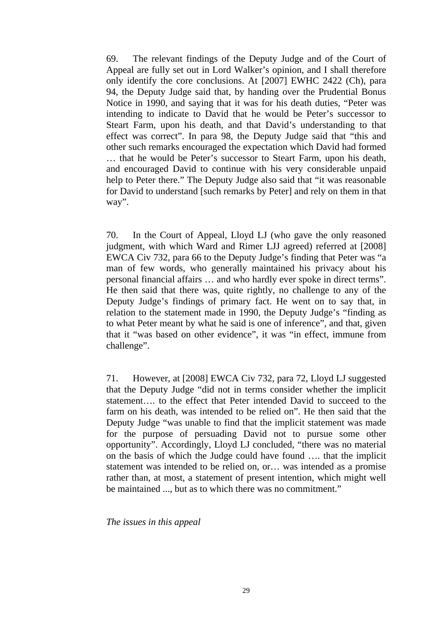69. The relevant findings of the Deputy Judge and of the Court of Appeal are fully set out in Lord Walker's opinion, and I shall therefore only identify the core conclusions. At [2007] EWHC 2422 (Ch), para 94, the Deputy Judge said that, by handing over the Prudential Bonus Notice in 1990, and saying that it was for his death duties, "Peter was intending to indicate to David that he would be Peter's successor to Steart Farm, upon his death, and that David's understanding to that effect was correct". In para 98, the Deputy Judge said that "this and other such remarks encouraged the expectation which David had formed … that he would be Peter's successor to Steart Farm, upon his death, and encouraged David to continue with his very considerable unpaid help to Peter there." The Deputy Judge also said that "it was reasonable for David to understand [such remarks by Peter] and rely on them in that way".

70. In the Court of Appeal, Lloyd LJ (who gave the only reasoned judgment, with which Ward and Rimer LJJ agreed) referred at [2008] EWCA Civ 732, para 66 to the Deputy Judge's finding that Peter was "a man of few words, who generally maintained his privacy about his personal financial affairs … and who hardly ever spoke in direct terms". He then said that there was, quite rightly, no challenge to any of the Deputy Judge's findings of primary fact. He went on to say that, in relation to the statement made in 1990, the Deputy Judge's "finding as to what Peter meant by what he said is one of inference", and that, given that it "was based on other evidence", it was "in effect, immune from challenge".

71. However, at [2008] EWCA Civ 732, para 72, Lloyd LJ suggested that the Deputy Judge "did not in terms consider whether the implicit statement…. to the effect that Peter intended David to succeed to the farm on his death, was intended to be relied on". He then said that the Deputy Judge "was unable to find that the implicit statement was made for the purpose of persuading David not to pursue some other opportunity". Accordingly, Lloyd LJ concluded, "there was no material on the basis of which the Judge could have found …. that the implicit statement was intended to be relied on, or… was intended as a promise rather than, at most, a statement of present intention, which might well be maintained ..., but as to which there was no commitment."

*The issues in this appeal*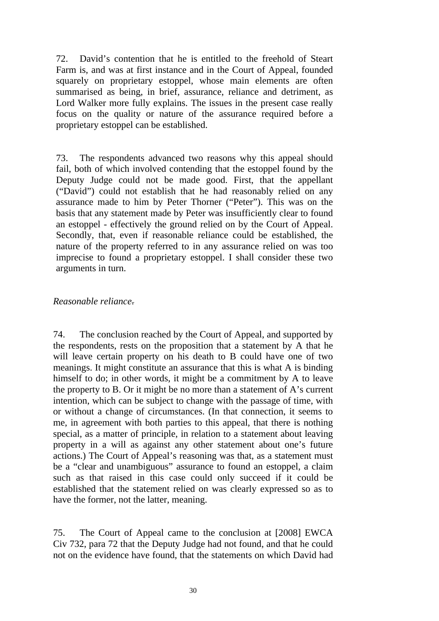72. David's contention that he is entitled to the freehold of Steart Farm is, and was at first instance and in the Court of Appeal, founded squarely on proprietary estoppel, whose main elements are often summarised as being, in brief, assurance, reliance and detriment, as Lord Walker more fully explains. The issues in the present case really focus on the quality or nature of the assurance required before a proprietary estoppel can be established.

73. The respondents advanced two reasons why this appeal should fail, both of which involved contending that the estoppel found by the Deputy Judge could not be made good. First, that the appellant ("David") could not establish that he had reasonably relied on any assurance made to him by Peter Thorner ("Peter"). This was on the basis that any statement made by Peter was insufficiently clear to found an estoppel - effectively the ground relied on by the Court of Appeal. Secondly, that, even if reasonable reliance could be established, the nature of the property referred to in any assurance relied on was too imprecise to found a proprietary estoppel. I shall consider these two arguments in turn.

### *Reasonable reliance*.

74. The conclusion reached by the Court of Appeal, and supported by the respondents, rests on the proposition that a statement by A that he will leave certain property on his death to B could have one of two meanings. It might constitute an assurance that this is what A is binding himself to do; in other words, it might be a commitment by A to leave the property to B. Or it might be no more than a statement of A's current intention, which can be subject to change with the passage of time, with or without a change of circumstances. (In that connection, it seems to me, in agreement with both parties to this appeal, that there is nothing special, as a matter of principle, in relation to a statement about leaving property in a will as against any other statement about one's future actions.) The Court of Appeal's reasoning was that, as a statement must be a "clear and unambiguous" assurance to found an estoppel, a claim such as that raised in this case could only succeed if it could be established that the statement relied on was clearly expressed so as to have the former, not the latter, meaning.

75. The Court of Appeal came to the conclusion at [2008] EWCA Civ 732, para 72 that the Deputy Judge had not found, and that he could not on the evidence have found, that the statements on which David had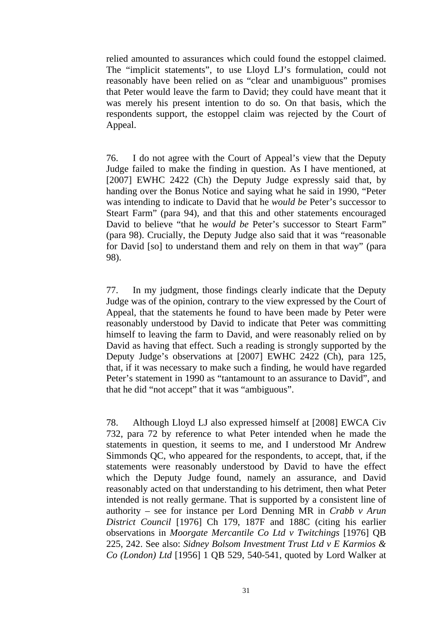relied amounted to assurances which could found the estoppel claimed. The "implicit statements", to use Lloyd LJ's formulation, could not reasonably have been relied on as "clear and unambiguous" promises that Peter would leave the farm to David; they could have meant that it was merely his present intention to do so. On that basis, which the respondents support, the estoppel claim was rejected by the Court of Appeal.

76. I do not agree with the Court of Appeal's view that the Deputy Judge failed to make the finding in question. As I have mentioned, at [2007] EWHC 2422 (Ch) the Deputy Judge expressly said that, by handing over the Bonus Notice and saying what he said in 1990, "Peter was intending to indicate to David that he *would be* Peter's successor to Steart Farm" (para 94), and that this and other statements encouraged David to believe "that he *would be* Peter's successor to Steart Farm" (para 98). Crucially, the Deputy Judge also said that it was "reasonable for David [so] to understand them and rely on them in that way" (para 98).

77. In my judgment, those findings clearly indicate that the Deputy Judge was of the opinion, contrary to the view expressed by the Court of Appeal, that the statements he found to have been made by Peter were reasonably understood by David to indicate that Peter was committing himself to leaving the farm to David, and were reasonably relied on by David as having that effect. Such a reading is strongly supported by the Deputy Judge's observations at [2007] EWHC 2422 (Ch), para 125, that, if it was necessary to make such a finding, he would have regarded Peter's statement in 1990 as "tantamount to an assurance to David", and that he did "not accept" that it was "ambiguous".

78. Although Lloyd LJ also expressed himself at [2008] EWCA Civ 732, para 72 by reference to what Peter intended when he made the statements in question, it seems to me, and I understood Mr Andrew Simmonds QC, who appeared for the respondents, to accept, that, if the statements were reasonably understood by David to have the effect which the Deputy Judge found, namely an assurance, and David reasonably acted on that understanding to his detriment, then what Peter intended is not really germane. That is supported by a consistent line of authority – see for instance per Lord Denning MR in *Crabb v Arun District Council* [1976] Ch 179, 187F and 188C (citing his earlier observations in *Moorgate Mercantile Co Ltd v Twitchings* [1976] QB 225, 242. See also: *Sidney Bolsom Investment Trust Ltd v E Karmios & Co (London) Ltd* [1956] 1 QB 529, 540-541, quoted by Lord Walker at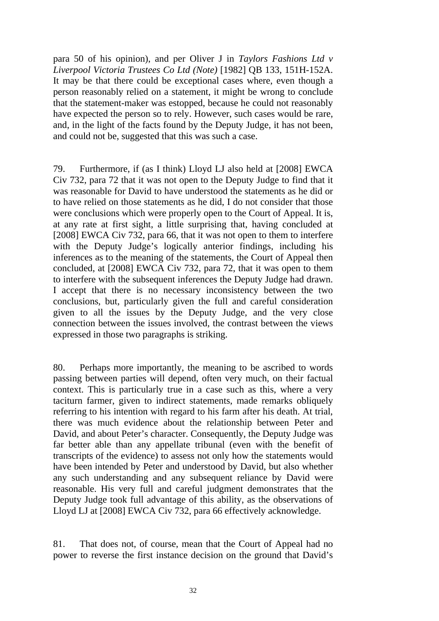para 50 of his opinion), and per Oliver J in *Taylors Fashions Ltd v Liverpool Victoria Trustees Co Ltd (Note)* [1982] QB 133, 151H-152A. It may be that there could be exceptional cases where, even though a person reasonably relied on a statement, it might be wrong to conclude that the statement-maker was estopped, because he could not reasonably have expected the person so to rely. However, such cases would be rare, and, in the light of the facts found by the Deputy Judge, it has not been, and could not be, suggested that this was such a case.

79. Furthermore, if (as I think) Lloyd LJ also held at [2008] EWCA Civ 732, para 72 that it was not open to the Deputy Judge to find that it was reasonable for David to have understood the statements as he did or to have relied on those statements as he did, I do not consider that those were conclusions which were properly open to the Court of Appeal. It is, at any rate at first sight, a little surprising that, having concluded at [2008] EWCA Civ 732, para 66, that it was not open to them to interfere with the Deputy Judge's logically anterior findings, including his inferences as to the meaning of the statements, the Court of Appeal then concluded, at [2008] EWCA Civ 732, para 72, that it was open to them to interfere with the subsequent inferences the Deputy Judge had drawn. I accept that there is no necessary inconsistency between the two conclusions, but, particularly given the full and careful consideration given to all the issues by the Deputy Judge, and the very close connection between the issues involved, the contrast between the views expressed in those two paragraphs is striking.

80. Perhaps more importantly, the meaning to be ascribed to words passing between parties will depend, often very much, on their factual context. This is particularly true in a case such as this, where a very taciturn farmer, given to indirect statements, made remarks obliquely referring to his intention with regard to his farm after his death. At trial, there was much evidence about the relationship between Peter and David, and about Peter's character. Consequently, the Deputy Judge was far better able than any appellate tribunal (even with the benefit of transcripts of the evidence) to assess not only how the statements would have been intended by Peter and understood by David, but also whether any such understanding and any subsequent reliance by David were reasonable. His very full and careful judgment demonstrates that the Deputy Judge took full advantage of this ability, as the observations of Lloyd LJ at [2008] EWCA Civ 732, para 66 effectively acknowledge.

81. That does not, of course, mean that the Court of Appeal had no power to reverse the first instance decision on the ground that David's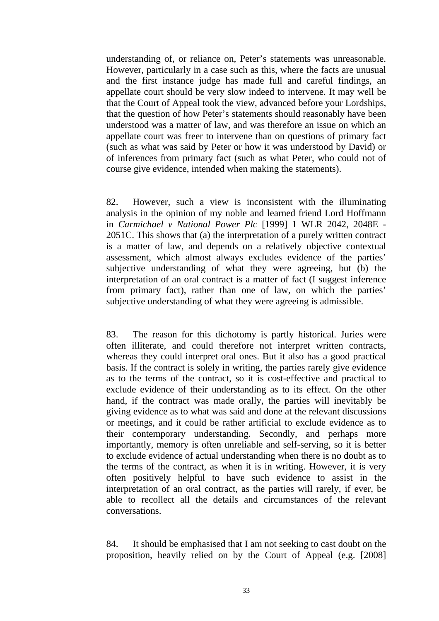understanding of, or reliance on, Peter's statements was unreasonable. However, particularly in a case such as this, where the facts are unusual and the first instance judge has made full and careful findings, an appellate court should be very slow indeed to intervene. It may well be that the Court of Appeal took the view, advanced before your Lordships, that the question of how Peter's statements should reasonably have been understood was a matter of law, and was therefore an issue on which an appellate court was freer to intervene than on questions of primary fact (such as what was said by Peter or how it was understood by David) or of inferences from primary fact (such as what Peter, who could not of course give evidence, intended when making the statements).

82. However, such a view is inconsistent with the illuminating analysis in the opinion of my noble and learned friend Lord Hoffmann in *Carmichael v National Power Plc* [1999] 1 WLR 2042, 2048E - 2051C. This shows that (a) the interpretation of a purely written contract is a matter of law, and depends on a relatively objective contextual assessment, which almost always excludes evidence of the parties' subjective understanding of what they were agreeing, but (b) the interpretation of an oral contract is a matter of fact (I suggest inference from primary fact), rather than one of law, on which the parties' subjective understanding of what they were agreeing is admissible.

83. The reason for this dichotomy is partly historical. Juries were often illiterate, and could therefore not interpret written contracts, whereas they could interpret oral ones. But it also has a good practical basis. If the contract is solely in writing, the parties rarely give evidence as to the terms of the contract, so it is cost-effective and practical to exclude evidence of their understanding as to its effect. On the other hand, if the contract was made orally, the parties will inevitably be giving evidence as to what was said and done at the relevant discussions or meetings, and it could be rather artificial to exclude evidence as to their contemporary understanding. Secondly, and perhaps more importantly, memory is often unreliable and self-serving, so it is better to exclude evidence of actual understanding when there is no doubt as to the terms of the contract, as when it is in writing. However, it is very often positively helpful to have such evidence to assist in the interpretation of an oral contract, as the parties will rarely, if ever, be able to recollect all the details and circumstances of the relevant conversations.

84. It should be emphasised that I am not seeking to cast doubt on the proposition, heavily relied on by the Court of Appeal (e.g. [2008]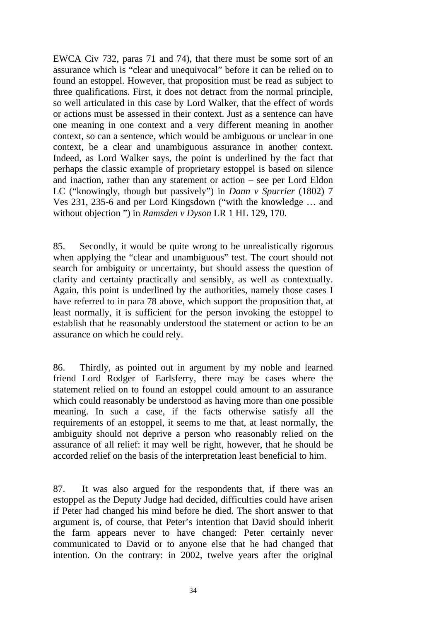EWCA Civ 732, paras 71 and 74), that there must be some sort of an assurance which is "clear and unequivocal" before it can be relied on to found an estoppel. However, that proposition must be read as subject to three qualifications. First, it does not detract from the normal principle, so well articulated in this case by Lord Walker, that the effect of words or actions must be assessed in their context. Just as a sentence can have one meaning in one context and a very different meaning in another context, so can a sentence, which would be ambiguous or unclear in one context, be a clear and unambiguous assurance in another context. Indeed, as Lord Walker says, the point is underlined by the fact that perhaps the classic example of proprietary estoppel is based on silence and inaction, rather than any statement or action – see per Lord Eldon LC ("knowingly, though but passively") in *Dann v Spurrier* (1802) 7 Ves 231, 235-6 and per Lord Kingsdown ("with the knowledge … and without objection ") in *Ramsden v Dyson* LR 1 HL 129, 170.

85. Secondly, it would be quite wrong to be unrealistically rigorous when applying the "clear and unambiguous" test. The court should not search for ambiguity or uncertainty, but should assess the question of clarity and certainty practically and sensibly, as well as contextually. Again, this point is underlined by the authorities, namely those cases I have referred to in para 78 above, which support the proposition that, at least normally, it is sufficient for the person invoking the estoppel to establish that he reasonably understood the statement or action to be an assurance on which he could rely.

86. Thirdly, as pointed out in argument by my noble and learned friend Lord Rodger of Earlsferry, there may be cases where the statement relied on to found an estoppel could amount to an assurance which could reasonably be understood as having more than one possible meaning. In such a case, if the facts otherwise satisfy all the requirements of an estoppel, it seems to me that, at least normally, the ambiguity should not deprive a person who reasonably relied on the assurance of all relief: it may well be right, however, that he should be accorded relief on the basis of the interpretation least beneficial to him.

87. It was also argued for the respondents that, if there was an estoppel as the Deputy Judge had decided, difficulties could have arisen if Peter had changed his mind before he died. The short answer to that argument is, of course, that Peter's intention that David should inherit the farm appears never to have changed: Peter certainly never communicated to David or to anyone else that he had changed that intention. On the contrary: in 2002, twelve years after the original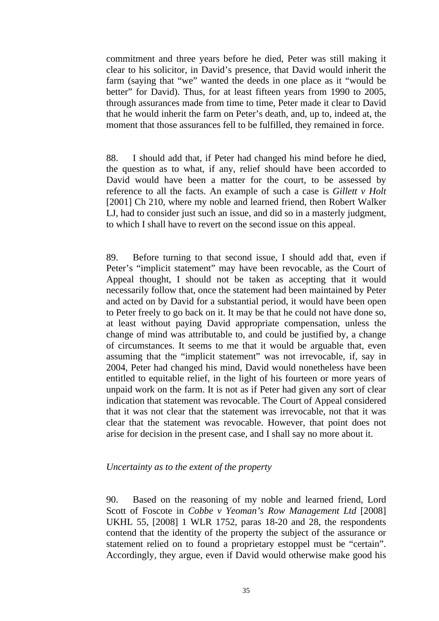commitment and three years before he died, Peter was still making it clear to his solicitor, in David's presence, that David would inherit the farm (saying that "we" wanted the deeds in one place as it "would be better" for David). Thus, for at least fifteen years from 1990 to 2005, through assurances made from time to time, Peter made it clear to David that he would inherit the farm on Peter's death, and, up to, indeed at, the moment that those assurances fell to be fulfilled, they remained in force.

88. I should add that, if Peter had changed his mind before he died, the question as to what, if any, relief should have been accorded to David would have been a matter for the court, to be assessed by reference to all the facts. An example of such a case is *Gillett v Holt*  [2001] Ch 210, where my noble and learned friend, then Robert Walker LJ, had to consider just such an issue, and did so in a masterly judgment, to which I shall have to revert on the second issue on this appeal.

89. Before turning to that second issue, I should add that, even if Peter's "implicit statement" may have been revocable, as the Court of Appeal thought, I should not be taken as accepting that it would necessarily follow that, once the statement had been maintained by Peter and acted on by David for a substantial period, it would have been open to Peter freely to go back on it. It may be that he could not have done so, at least without paying David appropriate compensation, unless the change of mind was attributable to, and could be justified by, a change of circumstances. It seems to me that it would be arguable that, even assuming that the "implicit statement" was not irrevocable, if, say in 2004, Peter had changed his mind, David would nonetheless have been entitled to equitable relief, in the light of his fourteen or more years of unpaid work on the farm. It is not as if Peter had given any sort of clear indication that statement was revocable. The Court of Appeal considered that it was not clear that the statement was irrevocable, not that it was clear that the statement was revocable. However, that point does not arise for decision in the present case, and I shall say no more about it.

#### *Uncertainty as to the extent of the property*

90. Based on the reasoning of my noble and learned friend, Lord Scott of Foscote in *Cobbe v Yeoman's Row Management Ltd* [2008] UKHL 55, [2008] 1 WLR 1752, paras 18-20 and 28, the respondents contend that the identity of the property the subject of the assurance or statement relied on to found a proprietary estoppel must be "certain". Accordingly, they argue, even if David would otherwise make good his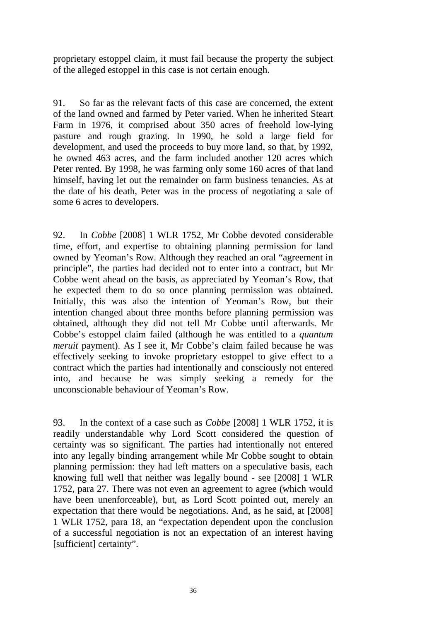proprietary estoppel claim, it must fail because the property the subject of the alleged estoppel in this case is not certain enough.

91. So far as the relevant facts of this case are concerned, the extent of the land owned and farmed by Peter varied. When he inherited Steart Farm in 1976, it comprised about 350 acres of freehold low-lying pasture and rough grazing. In 1990, he sold a large field for development, and used the proceeds to buy more land, so that, by 1992, he owned 463 acres, and the farm included another 120 acres which Peter rented. By 1998, he was farming only some 160 acres of that land himself, having let out the remainder on farm business tenancies. As at the date of his death, Peter was in the process of negotiating a sale of some 6 acres to developers.

92. In *Cobbe* [2008] 1 WLR 1752, Mr Cobbe devoted considerable time, effort, and expertise to obtaining planning permission for land owned by Yeoman's Row. Although they reached an oral "agreement in principle", the parties had decided not to enter into a contract, but Mr Cobbe went ahead on the basis, as appreciated by Yeoman's Row, that he expected them to do so once planning permission was obtained. Initially, this was also the intention of Yeoman's Row, but their intention changed about three months before planning permission was obtained, although they did not tell Mr Cobbe until afterwards. Mr Cobbe's estoppel claim failed (although he was entitled to a *quantum meruit* payment). As I see it, Mr Cobbe's claim failed because he was effectively seeking to invoke proprietary estoppel to give effect to a contract which the parties had intentionally and consciously not entered into, and because he was simply seeking a remedy for the unconscionable behaviour of Yeoman's Row.

93. In the context of a case such as *Cobbe* [2008] 1 WLR 1752, it is readily understandable why Lord Scott considered the question of certainty was so significant. The parties had intentionally not entered into any legally binding arrangement while Mr Cobbe sought to obtain planning permission: they had left matters on a speculative basis, each knowing full well that neither was legally bound - see [2008] 1 WLR 1752, para 27. There was not even an agreement to agree (which would have been unenforceable), but, as Lord Scott pointed out, merely an expectation that there would be negotiations. And, as he said, at [2008] 1 WLR 1752, para 18, an "expectation dependent upon the conclusion of a successful negotiation is not an expectation of an interest having [sufficient] certainty".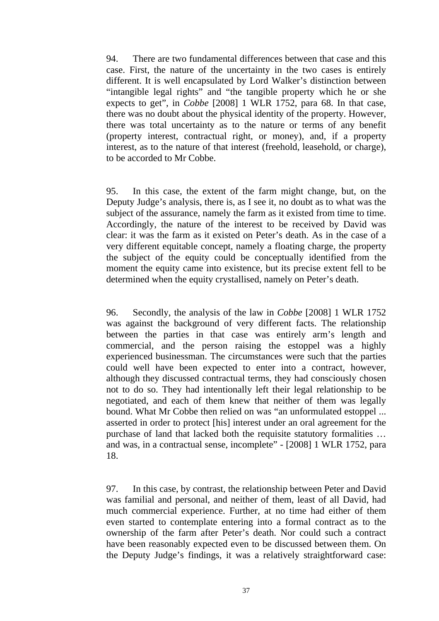94. There are two fundamental differences between that case and this case. First, the nature of the uncertainty in the two cases is entirely different. It is well encapsulated by Lord Walker's distinction between "intangible legal rights" and "the tangible property which he or she expects to get", in *Cobbe* [2008] 1 WLR 1752, para 68. In that case, there was no doubt about the physical identity of the property. However, there was total uncertainty as to the nature or terms of any benefit (property interest, contractual right, or money), and, if a property interest, as to the nature of that interest (freehold, leasehold, or charge), to be accorded to Mr Cobbe.

95. In this case, the extent of the farm might change, but, on the Deputy Judge's analysis, there is, as I see it, no doubt as to what was the subject of the assurance, namely the farm as it existed from time to time. Accordingly, the nature of the interest to be received by David was clear: it was the farm as it existed on Peter's death. As in the case of a very different equitable concept, namely a floating charge, the property the subject of the equity could be conceptually identified from the moment the equity came into existence, but its precise extent fell to be determined when the equity crystallised, namely on Peter's death.

96. Secondly, the analysis of the law in *Cobbe* [2008] 1 WLR 1752 was against the background of very different facts. The relationship between the parties in that case was entirely arm's length and commercial, and the person raising the estoppel was a highly experienced businessman. The circumstances were such that the parties could well have been expected to enter into a contract, however, although they discussed contractual terms, they had consciously chosen not to do so. They had intentionally left their legal relationship to be negotiated, and each of them knew that neither of them was legally bound. What Mr Cobbe then relied on was "an unformulated estoppel ... asserted in order to protect [his] interest under an oral agreement for the purchase of land that lacked both the requisite statutory formalities … and was, in a contractual sense, incomplete" - [2008] 1 WLR 1752, para 18.

97. In this case, by contrast, the relationship between Peter and David was familial and personal, and neither of them, least of all David, had much commercial experience. Further, at no time had either of them even started to contemplate entering into a formal contract as to the ownership of the farm after Peter's death. Nor could such a contract have been reasonably expected even to be discussed between them. On the Deputy Judge's findings, it was a relatively straightforward case: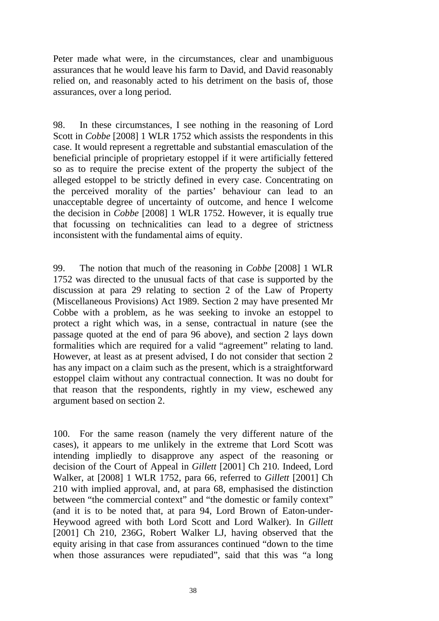Peter made what were, in the circumstances, clear and unambiguous assurances that he would leave his farm to David, and David reasonably relied on, and reasonably acted to his detriment on the basis of, those assurances, over a long period.

98. In these circumstances, I see nothing in the reasoning of Lord Scott in *Cobbe* [2008] 1 WLR 1752 which assists the respondents in this case. It would represent a regrettable and substantial emasculation of the beneficial principle of proprietary estoppel if it were artificially fettered so as to require the precise extent of the property the subject of the alleged estoppel to be strictly defined in every case. Concentrating on the perceived morality of the parties' behaviour can lead to an unacceptable degree of uncertainty of outcome, and hence I welcome the decision in *Cobbe* [2008] 1 WLR 1752. However, it is equally true that focussing on technicalities can lead to a degree of strictness inconsistent with the fundamental aims of equity.

99. The notion that much of the reasoning in *Cobbe* [2008] 1 WLR 1752 was directed to the unusual facts of that case is supported by the discussion at para 29 relating to section 2 of the Law of Property (Miscellaneous Provisions) Act 1989. Section 2 may have presented Mr Cobbe with a problem, as he was seeking to invoke an estoppel to protect a right which was, in a sense, contractual in nature (see the passage quoted at the end of para 96 above), and section 2 lays down formalities which are required for a valid "agreement" relating to land. However, at least as at present advised, I do not consider that section 2 has any impact on a claim such as the present, which is a straightforward estoppel claim without any contractual connection. It was no doubt for that reason that the respondents, rightly in my view, eschewed any argument based on section 2.

100. For the same reason (namely the very different nature of the cases), it appears to me unlikely in the extreme that Lord Scott was intending impliedly to disapprove any aspect of the reasoning or decision of the Court of Appeal in *Gillett* [2001] Ch 210. Indeed, Lord Walker, at [2008] 1 WLR 1752, para 66, referred to *Gillett* [2001] Ch 210 with implied approval, and, at para 68, emphasised the distinction between "the commercial context" and "the domestic or family context" (and it is to be noted that, at para 94, Lord Brown of Eaton-under-Heywood agreed with both Lord Scott and Lord Walker). In *Gillett* [2001] Ch 210, 236G, Robert Walker LJ, having observed that the equity arising in that case from assurances continued "down to the time when those assurances were repudiated", said that this was "a long"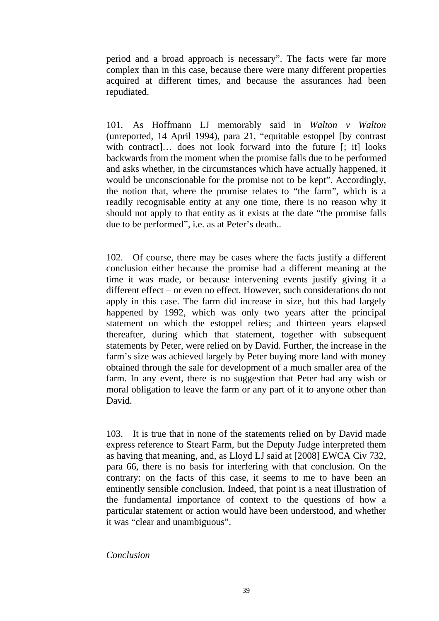period and a broad approach is necessary". The facts were far more complex than in this case, because there were many different properties acquired at different times, and because the assurances had been repudiated.

101. As Hoffmann LJ memorably said in *Walton v Walton*  (unreported, 14 April 1994), para 21, "equitable estoppel [by contrast with contract]… does not look forward into the future [; it] looks backwards from the moment when the promise falls due to be performed and asks whether, in the circumstances which have actually happened, it would be unconscionable for the promise not to be kept". Accordingly, the notion that, where the promise relates to "the farm", which is a readily recognisable entity at any one time, there is no reason why it should not apply to that entity as it exists at the date "the promise falls due to be performed", i.e. as at Peter's death..

102. Of course, there may be cases where the facts justify a different conclusion either because the promise had a different meaning at the time it was made, or because intervening events justify giving it a different effect – or even no effect. However, such considerations do not apply in this case. The farm did increase in size, but this had largely happened by 1992, which was only two years after the principal statement on which the estoppel relies; and thirteen years elapsed thereafter, during which that statement, together with subsequent statements by Peter, were relied on by David. Further, the increase in the farm's size was achieved largely by Peter buying more land with money obtained through the sale for development of a much smaller area of the farm. In any event, there is no suggestion that Peter had any wish or moral obligation to leave the farm or any part of it to anyone other than David.

103. It is true that in none of the statements relied on by David made express reference to Steart Farm, but the Deputy Judge interpreted them as having that meaning, and, as Lloyd LJ said at [2008] EWCA Civ 732, para 66, there is no basis for interfering with that conclusion. On the contrary: on the facts of this case, it seems to me to have been an eminently sensible conclusion. Indeed, that point is a neat illustration of the fundamental importance of context to the questions of how a particular statement or action would have been understood, and whether it was "clear and unambiguous".

#### *Conclusion*